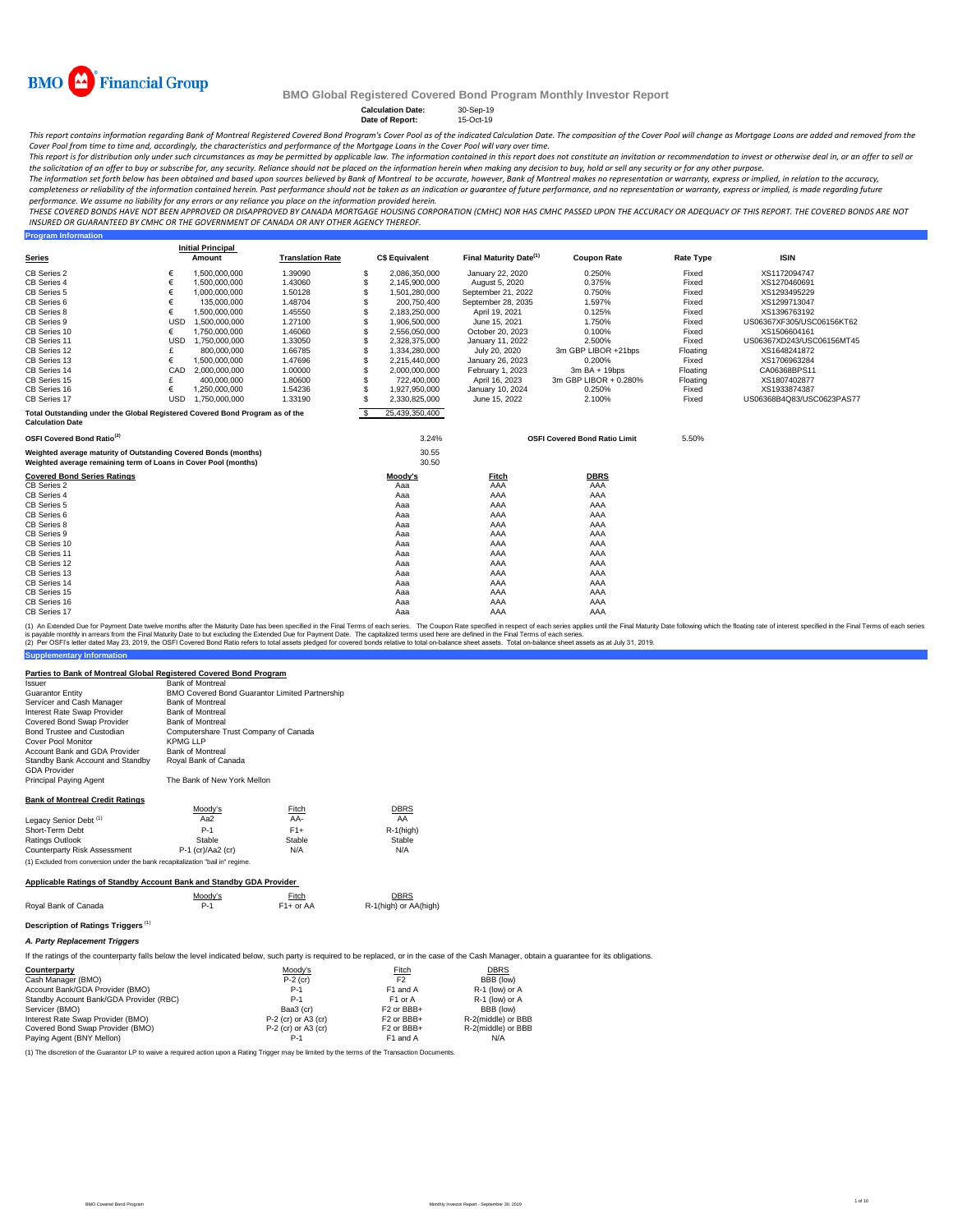

**Program Information**

### **BMO Global Registered Covered Bond Program Monthly Investor Report**

**Calculation Date:** 30-Sep-19 **Date of Report:** 15-Oct-19

This report contains information regarding Bank of Montreal Registered Covered Bond Program's Cover Pool as of the indicated Calculation Date. The composition of the Cover Pool will change as Mortgage Loans are added and r

Cover Pool from time to time and, accordingly, the characteristics and performance of the Mortgage Loans in the Cover Pool will vary over time.<br>This report is for distribution only under such circumstances as may be permit the solicitation of an offer to buy or subscribe for, any security. Reliance should not be placed on the information herein when *making any decision to buy, hold or sell any security or for any other purpose.* 

The information set forth below has been obtained and based upon sources believed by Bank of Montreal to be accurate, however, Bank of Montreal makes no representation or warranty, express or implied, in relation to the ac *performance. We assume no liability for any errors or any reliance you place on the information provided herein.*

.<br>THESE COVERED BONDS HAVE NOT BEEN APPROVED OR DISAPPROVED BY CANADA MORTGAGE HOUSING CORPORATION (CMHC) NOR HAS CMHC PASSED UPON THE ACCURACY OR ADEQUACY OF THIS REPORT. THE COVERED BONDS ARE NOT *INSURED OR GUARANTEED BY CMHC OR THE GOVERNMENT OF CANADA OR ANY OTHER AGENCY THEREOF.*

|                                                                                                                                    |            | <b>Initial Principal</b> |                         |          |                       |                                    |                                      |                  |                           |
|------------------------------------------------------------------------------------------------------------------------------------|------------|--------------------------|-------------------------|----------|-----------------------|------------------------------------|--------------------------------------|------------------|---------------------------|
| <b>Series</b>                                                                                                                      |            | Amount                   | <b>Translation Rate</b> |          | <b>C\$ Equivalent</b> | Final Maturity Date <sup>(1)</sup> | <b>Coupon Rate</b>                   | <b>Rate Type</b> | <b>ISIN</b>               |
| CB Series 2                                                                                                                        | €          | 1,500,000,000            | 1.39090                 | -S       | 2.086.350.000         | January 22, 2020                   | 0.250%                               | Fixed            | XS1172094747              |
| CB Series 4                                                                                                                        | €          | 1,500,000,000            | 1.43060                 | <b>S</b> | 2,145,900,000         | August 5, 2020                     | 0.375%                               | Fixed            | XS1270460691              |
| CB Series 5                                                                                                                        | €          | 1,000,000,000            | 1.50128                 | <b>S</b> | 1,501,280,000         | September 21, 2022                 | 0.750%                               | Fixed            | XS1293495229              |
| CB Series 6                                                                                                                        | €          | 135,000,000              | 1.48704                 | S        | 200,750,400           | September 28, 2035                 | 1.597%                               | Fixed            | XS1299713047              |
| CB Series 8                                                                                                                        | €          | 1.500.000.000            | 1.45550                 | S        | 2,183,250,000         | April 19, 2021                     | 0.125%                               | Fixed            | XS1396763192              |
| CB Series 9                                                                                                                        | <b>USD</b> | 1.500.000.000            | 1.27100                 | S        | 1.906.500.000         | June 15, 2021                      | 1.750%                               | Fixed            | US06367XF305/USC06156KT62 |
| CB Series 10                                                                                                                       | €          | 1,750,000,000            | 1.46060                 | S        | 2,556,050,000         | October 20, 2023                   | 0.100%                               | Fixed            | XS1506604161              |
| CB Series 11                                                                                                                       | <b>USD</b> | 1.750.000.000            | 1.33050                 | S        | 2,328,375,000         | January 11, 2022                   | 2.500%                               | Fixed            | US06367XD243/USC06156MT45 |
| CB Series 12                                                                                                                       |            | 800,000,000              | 1.66785                 | S        | 1,334,280,000         | July 20, 2020                      | 3m GBP LIBOR +21bps                  | Floating         | XS1648241872              |
| CB Series 13                                                                                                                       | €          | 1.500.000.000            | 1.47696                 | S.       | 2.215.440.000         | January 26, 2023                   | 0.200%                               | Fixed            | XS1706963284              |
| CB Series 14                                                                                                                       | CAD        | 2,000,000,000            | 1.00000                 | S        | 2,000,000,000         | February 1, 2023                   | 3m BA + 19bps                        | Floating         | CA06368BPS11              |
| CB Series 15                                                                                                                       |            | 400,000,000              | 1.80600                 | S        | 722,400,000           | April 16, 2023                     | 3m GBP LIBOR + 0.280%                | Floating         | XS1807402877              |
| CB Series 16                                                                                                                       | €          | 1,250,000,000            | 1.54236                 | S        | 1,927,950,000         | January 10, 2024                   | 0.250%                               | Fixed            | XS1933874387              |
| CB Series 17                                                                                                                       | <b>USD</b> | 1.750.000.000            | 1.33190                 | S.       | 2.330.825.000         | June 15, 2022                      | 2.100%                               | Fixed            | US06368B4Q83/USC0623PAS77 |
| S.<br>25,439,350,400<br>Total Outstanding under the Global Registered Covered Bond Program as of the<br><b>Calculation Date</b>    |            |                          |                         |          |                       |                                    |                                      |                  |                           |
| OSFI Covered Bond Ratio <sup>(2)</sup>                                                                                             |            |                          |                         |          | 3.24%                 |                                    | <b>OSFI Covered Bond Ratio Limit</b> | 5.50%            |                           |
| Weighted average maturity of Outstanding Covered Bonds (months)<br>Weighted average remaining term of Loans in Cover Pool (months) |            |                          |                         |          | 30.55<br>30.50        |                                    |                                      |                  |                           |
| <b>Covered Bond Series Ratings</b>                                                                                                 |            |                          |                         |          | Moody's               | Fitch                              | <b>DBRS</b>                          |                  |                           |
| CB Series 2                                                                                                                        |            |                          |                         |          | Aaa                   | AAA                                | AAA                                  |                  |                           |
| CB Series 4                                                                                                                        |            |                          |                         |          | Aaa                   | AAA                                | AAA                                  |                  |                           |
| CB Series 5                                                                                                                        |            |                          |                         |          | Aaa                   | AAA                                | AAA                                  |                  |                           |
| CB Series 6                                                                                                                        |            |                          |                         |          | Aaa                   | AAA                                | AAA                                  |                  |                           |
| CB Series 8                                                                                                                        |            |                          |                         |          | Aaa                   | AAA                                | AAA                                  |                  |                           |
| CB Series 9                                                                                                                        |            |                          |                         |          | Aaa                   | AAA                                | AAA                                  |                  |                           |
| CB Series 10                                                                                                                       |            |                          |                         |          | Aaa                   | AAA                                | AAA                                  |                  |                           |
| CB Series 11                                                                                                                       |            |                          |                         |          | Aaa                   | AAA                                | AAA                                  |                  |                           |
| CB Series 12                                                                                                                       |            |                          |                         |          | Aaa                   | AAA                                | AAA                                  |                  |                           |
| CB Series 13                                                                                                                       |            |                          |                         |          | Aaa                   | AAA                                | AAA                                  |                  |                           |
| CB Series 14                                                                                                                       |            |                          |                         |          | Aaa                   | AAA                                | AAA                                  |                  |                           |
| CB Series 15                                                                                                                       |            |                          |                         |          | Aaa                   | AAA                                | AAA                                  |                  |                           |
| CB Series 16                                                                                                                       |            |                          |                         |          | Aaa                   | AAA                                | AAA                                  |                  |                           |
| CB Series 17                                                                                                                       |            |                          |                         |          | Aaa                   | AAA                                | AAA                                  |                  |                           |

(1) An Extended Due for Payment Date twelve months after the Maturity Date has been specified in the Final Terms of each series. The Coupon Rate specified in the respective in the specifie such series applies until the Fin

#### **Parties to Bank of Montreal Global Registered Covered Bond Program**

| <i><b>Issuer</b></i>                                                           | <b>Bank of Montreal</b>                               |        |              |  |  |  |
|--------------------------------------------------------------------------------|-------------------------------------------------------|--------|--------------|--|--|--|
| <b>Guarantor Entity</b>                                                        | <b>BMO Covered Bond Guarantor Limited Partnership</b> |        |              |  |  |  |
| Servicer and Cash Manager                                                      | <b>Bank of Montreal</b>                               |        |              |  |  |  |
| Interest Rate Swap Provider                                                    | <b>Bank of Montreal</b>                               |        |              |  |  |  |
| Covered Bond Swap Provider                                                     | <b>Bank of Montreal</b>                               |        |              |  |  |  |
| Bond Trustee and Custodian                                                     | Computershare Trust Company of Canada                 |        |              |  |  |  |
| Cover Pool Monitor                                                             | <b>KPMG LLP</b>                                       |        |              |  |  |  |
| Account Bank and GDA Provider                                                  | <b>Bank of Montreal</b>                               |        |              |  |  |  |
| Standby Bank Account and Standby                                               | Royal Bank of Canada                                  |        |              |  |  |  |
| <b>GDA Provider</b>                                                            |                                                       |        |              |  |  |  |
| Principal Paying Agent                                                         | The Bank of New York Mellon                           |        |              |  |  |  |
| <b>Bank of Montreal Credit Ratings</b>                                         |                                                       |        |              |  |  |  |
|                                                                                | Moodv's                                               | Fitch  | <b>DBRS</b>  |  |  |  |
| Legacy Senior Debt <sup>(1)</sup>                                              | Aa2                                                   | AA-    | AA           |  |  |  |
| Short-Term Debt                                                                | $P-1$                                                 | $F1+$  | $R-1$ (high) |  |  |  |
| <b>Ratings Outlook</b>                                                         | Stable                                                | Stable | Stable       |  |  |  |
| Counterparty Risk Assessment                                                   | P-1 (cr)/Aa2 (cr)                                     | N/A    | N/A          |  |  |  |
| (1) Excluded from conversion under the bank recapitalization "bail in" regime. |                                                       |        |              |  |  |  |

#### **Applicable Ratings of Standby Account Bank and Standby GDA Provider**

|                      | Moodv's | Fitch       | <b>DBRS</b>           |
|----------------------|---------|-------------|-----------------------|
| Roval Bank of Canada |         | $F1+$ or AA | R-1(high) or AA(high) |

# **Description of Ratings Triggers** (1)

**Supplementary Information**

*A. Party Replacement Triggers*

If the ratings of the counterparty falls below the level indicated below, such party is required to be replaced, or in the case of the Cash Manager, obtain a guarantee for its obligations.

| Counterparty                            | Moody's               | <b>Fitch</b>           | DBRS               |
|-----------------------------------------|-----------------------|------------------------|--------------------|
| Cash Manager (BMO)                      | $P-2$ (cr)            | F <sub>2</sub>         | BBB (low)          |
| Account Bank/GDA Provider (BMO)         | $P-1$                 | F1 and A               | R-1 (low) or A     |
| Standby Account Bank/GDA Provider (RBC) | $P-1$                 | F1 or A                | R-1 (low) or A     |
| Servicer (BMO)                          | Baa3 (cr)             | F <sub>2</sub> or BBB+ | BBB (low)          |
| Interest Rate Swap Provider (BMO)       | $P-2$ (cr) or A3 (cr) | F <sub>2</sub> or BBB+ | R-2(middle) or BBB |
| Covered Bond Swap Provider (BMO)        | P-2 (cr) or A3 (cr)   | F <sub>2</sub> or BBB+ | R-2(middle) or BBB |
| Paying Agent (BNY Mellon)               | P-1                   | F1 and A               | N/A                |

(1) The discretion of the Guarantor LP to waive a required action upon a Rating Trigger may be limited by the terms of the Transaction Documents.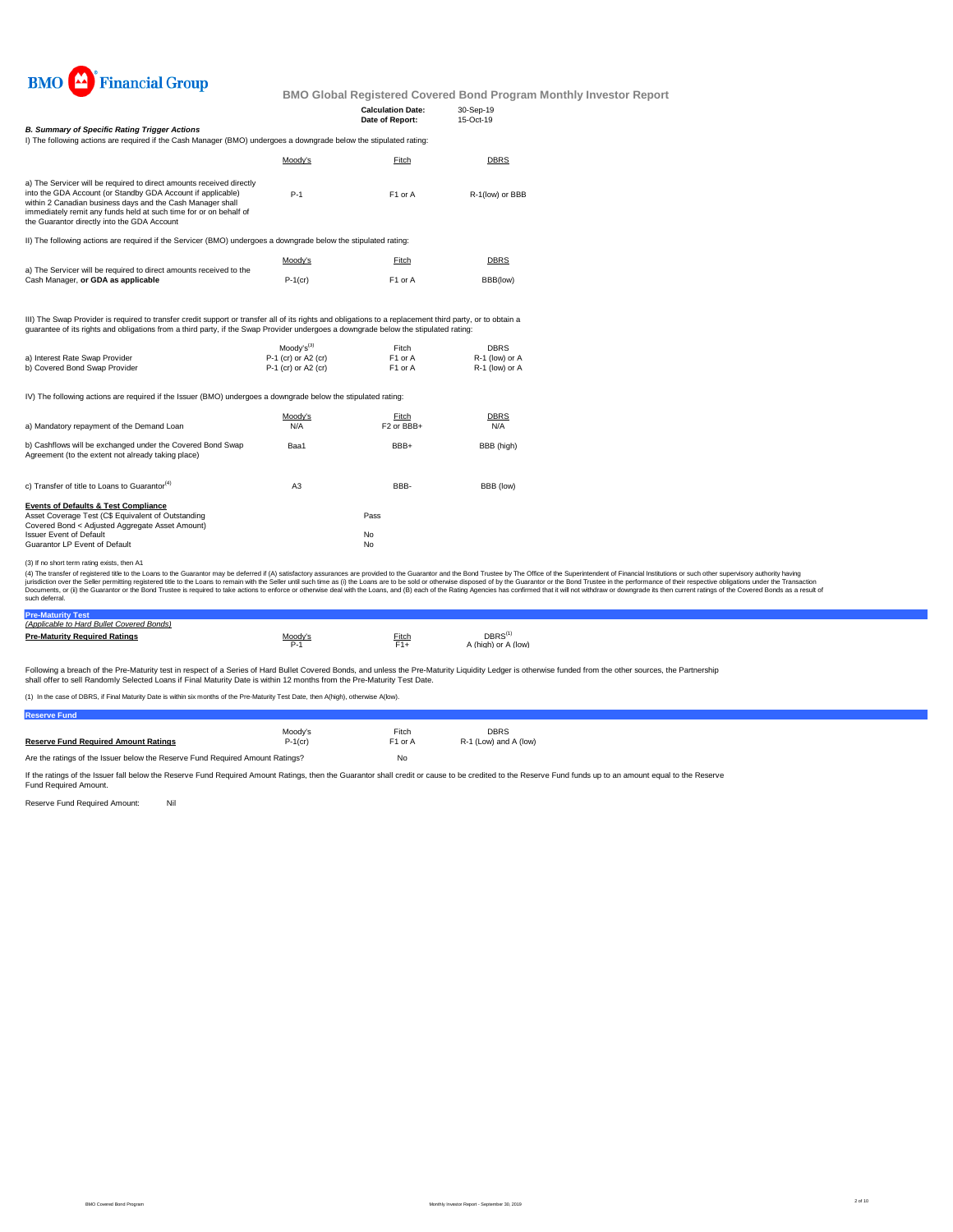

|                                                                                                                                                                                                                                                                                                                                                                                                                                                                                                                                                                                                                                                                                                                      |                                                              | <b>Calculation Date:</b><br>Date of Report: | 30-Sep-19<br>15-Oct-19                          |  |  |
|----------------------------------------------------------------------------------------------------------------------------------------------------------------------------------------------------------------------------------------------------------------------------------------------------------------------------------------------------------------------------------------------------------------------------------------------------------------------------------------------------------------------------------------------------------------------------------------------------------------------------------------------------------------------------------------------------------------------|--------------------------------------------------------------|---------------------------------------------|-------------------------------------------------|--|--|
| <b>B. Summary of Specific Rating Trigger Actions</b>                                                                                                                                                                                                                                                                                                                                                                                                                                                                                                                                                                                                                                                                 |                                                              |                                             |                                                 |  |  |
| I) The following actions are required if the Cash Manager (BMO) undergoes a downgrade below the stipulated rating:                                                                                                                                                                                                                                                                                                                                                                                                                                                                                                                                                                                                   |                                                              |                                             |                                                 |  |  |
|                                                                                                                                                                                                                                                                                                                                                                                                                                                                                                                                                                                                                                                                                                                      | Moody's                                                      | Fitch                                       | <b>DBRS</b>                                     |  |  |
| a) The Servicer will be required to direct amounts received directly                                                                                                                                                                                                                                                                                                                                                                                                                                                                                                                                                                                                                                                 |                                                              |                                             |                                                 |  |  |
| into the GDA Account (or Standby GDA Account if applicable)<br>within 2 Canadian business days and the Cash Manager shall<br>immediately remit any funds held at such time for or on behalf of<br>the Guarantor directly into the GDA Account                                                                                                                                                                                                                                                                                                                                                                                                                                                                        | $P-1$                                                        | F1 or A                                     | R-1(low) or BBB                                 |  |  |
| II) The following actions are required if the Servicer (BMO) undergoes a downgrade below the stipulated rating:                                                                                                                                                                                                                                                                                                                                                                                                                                                                                                                                                                                                      |                                                              |                                             |                                                 |  |  |
|                                                                                                                                                                                                                                                                                                                                                                                                                                                                                                                                                                                                                                                                                                                      | Moody's                                                      | Fitch                                       | DBRS                                            |  |  |
| a) The Servicer will be required to direct amounts received to the<br>Cash Manager, or GDA as applicable                                                                                                                                                                                                                                                                                                                                                                                                                                                                                                                                                                                                             | $P-1$ (cr)                                                   | F1 or A                                     | BBB(low)                                        |  |  |
| quarantee of its rights and obligations from a third party, if the Swap Provider undergoes a downgrade below the stipulated rating:<br>a) Interest Rate Swap Provider<br>b) Covered Bond Swap Provider                                                                                                                                                                                                                                                                                                                                                                                                                                                                                                               | $Modv's^{(3)}$<br>P-1 (cr) or A2 (cr)<br>P-1 (cr) or A2 (cr) | Fitch<br>F1 or A<br>F <sub>1</sub> or A     | <b>DBRS</b><br>R-1 (low) or A<br>R-1 (low) or A |  |  |
| IV) The following actions are required if the Issuer (BMO) undergoes a downgrade below the stipulated rating:                                                                                                                                                                                                                                                                                                                                                                                                                                                                                                                                                                                                        |                                                              |                                             |                                                 |  |  |
|                                                                                                                                                                                                                                                                                                                                                                                                                                                                                                                                                                                                                                                                                                                      |                                                              |                                             |                                                 |  |  |
| a) Mandatory repayment of the Demand Loan                                                                                                                                                                                                                                                                                                                                                                                                                                                                                                                                                                                                                                                                            | Moody's<br>N/A                                               | Fitch<br>F <sub>2</sub> or BBB+             | <b>DBRS</b><br>N/A                              |  |  |
| b) Cashflows will be exchanged under the Covered Bond Swap<br>Agreement (to the extent not already taking place)                                                                                                                                                                                                                                                                                                                                                                                                                                                                                                                                                                                                     | Baa1                                                         | BBB+                                        | BBB (high)                                      |  |  |
| c) Transfer of title to Loans to Guarantor <sup>(4)</sup>                                                                                                                                                                                                                                                                                                                                                                                                                                                                                                                                                                                                                                                            | A <sub>3</sub>                                               | BBB-                                        | BBB (low)                                       |  |  |
| <b>Events of Defaults &amp; Test Compliance</b>                                                                                                                                                                                                                                                                                                                                                                                                                                                                                                                                                                                                                                                                      |                                                              |                                             |                                                 |  |  |
| Asset Coverage Test (C\$ Equivalent of Outstanding<br>Covered Bond < Adjusted Aggregate Asset Amount)                                                                                                                                                                                                                                                                                                                                                                                                                                                                                                                                                                                                                |                                                              | Pass                                        |                                                 |  |  |
| <b>Issuer Event of Default</b>                                                                                                                                                                                                                                                                                                                                                                                                                                                                                                                                                                                                                                                                                       |                                                              | No                                          |                                                 |  |  |
| Guarantor LP Event of Default                                                                                                                                                                                                                                                                                                                                                                                                                                                                                                                                                                                                                                                                                        |                                                              | No                                          |                                                 |  |  |
| (3) If no short term rating exists, then A1                                                                                                                                                                                                                                                                                                                                                                                                                                                                                                                                                                                                                                                                          |                                                              |                                             |                                                 |  |  |
| (4) The transfer of registered title to the Loans to the Guarantor may be deferred if (A) satisfactory assurances are provided to the Guarantor and the Bond Trustee by The Office of the Superintendent of Financial Institut<br>jurisdiction over the Seller permitting registered title to the Loans to remain with the Seller until such time as (i) the Loans are to be sold or otherwise disposed of by the Guarantor or the Bond Trustee in the performan<br>Documents, or (ii) the Guarantor or the Bond Trustee is required to take actions to enforce or otherwise deal with the Loans, and (B) each of the Rating Agencies has confirmed that it will not withdraw or downgrade its the<br>such deferral. |                                                              |                                             |                                                 |  |  |

**Pre-Maturity Test** *(Applicable to Hard Bullet Covered Bonds)* **Pre-Maturity Required Ratings Pre-Maturity Required Ratings Pre-Maturity Required Ratings**  $DBRS<sup>(1)</sup>$  A (high) or A (low)

Following a breach of the Pre-Maturity test in respect of a Series of Hard Bullet Covered Bonds, and unless the Pre-Maturity Liquidity Ledger is otherwise funded from the other sources, the Partnership<br>shall offer to sell

(1) In the case of DBRS, if Final Maturity Date is within six months of the Pre-Maturity Test Date, then A(high), otherwise A(low).

| <b>Reserve Fund</b>                                                           |            |                     |                       |
|-------------------------------------------------------------------------------|------------|---------------------|-----------------------|
|                                                                               | Moodv's    | Fitch               | <b>DBRS</b>           |
| <b>Reserve Fund Required Amount Ratings</b>                                   | $P-1$ (cr) | F <sub>1</sub> or A | R-1 (Low) and A (low) |
| Are the ratings of the Issuer below the Reserve Fund Required Amount Ratings? |            | No                  |                       |

If the ratings of the Issuer fall below the Reserve Fund Required Amount Ratings, then the Guarantor shall credit or cause to be credited to the Reserve Fund funds up to an amount equal to the Reserve<br>Fund Required Amount.

Reserve Fund Required Amount: Nil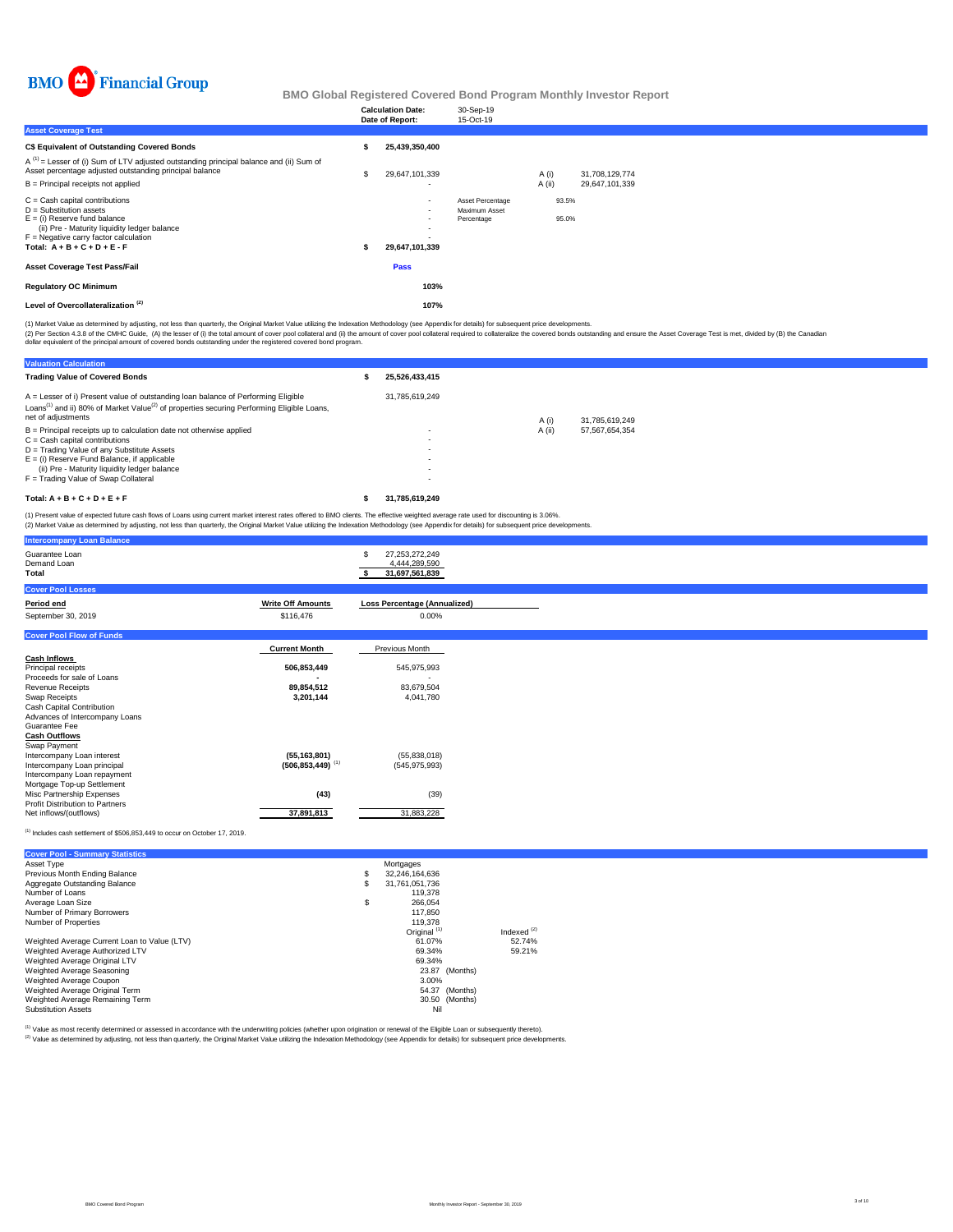

|                                                                                                                                                        | <b>Calculation Date:</b> | 30-Sep-19                   |        |                |
|--------------------------------------------------------------------------------------------------------------------------------------------------------|--------------------------|-----------------------------|--------|----------------|
|                                                                                                                                                        | Date of Report:          | 15-Oct-19                   |        |                |
| <b>Asset Coverage Test</b>                                                                                                                             |                          |                             |        |                |
| <b>C\$ Equivalent of Outstanding Covered Bonds</b>                                                                                                     | 25.439.350.400           |                             |        |                |
| $A^{(1)}$ = Lesser of (i) Sum of LTV adjusted outstanding principal balance and (ii) Sum of<br>Asset percentage adjusted outstanding principal balance | 29,647,101,339           |                             | A(i)   | 31,708,129,774 |
| $B =$ Principal receipts not applied                                                                                                                   | ٠                        |                             | A (ii) | 29,647,101,339 |
| $C =$ Cash capital contributions                                                                                                                       | $\overline{\phantom{a}}$ | Asset Percentage            | 93.5%  |                |
| $D =$ Substitution assets<br>$E =$ (i) Reserve fund balance                                                                                            | $\overline{\phantom{a}}$ | Maximum Asset<br>Percentage | 95.0%  |                |
| (ii) Pre - Maturity liquidity ledger balance                                                                                                           | ٠                        |                             |        |                |
| $F =$ Negative carry factor calculation                                                                                                                |                          |                             |        |                |
| Total: $A + B + C + D + E - F$                                                                                                                         | 29,647,101,339           |                             |        |                |
| <b>Asset Coverage Test Pass/Fail</b>                                                                                                                   | Pass                     |                             |        |                |
| <b>Regulatory OC Minimum</b>                                                                                                                           | 103%                     |                             |        |                |
| Level of Overcollateralization <sup>(2)</sup>                                                                                                          | 107%                     |                             |        |                |
|                                                                                                                                                        |                          |                             |        |                |

(2) Per Section 4.3.8 of the CMHC Guide, (A) the lesser of (i) the total amount of cover pool collateral and (i)) the amount of cover pool collateral required to collateralize the covered bonds outstanding and ensure the A (1) Market Value as determined by adjusting, not less than quarterly, the Original Market Value utilizing the Indexation Methodology (see Appendix for details) for subsequent price developments.

| <b>Valuation Calculation</b>                                                                                                                                                                                                   |                          |        |                |
|--------------------------------------------------------------------------------------------------------------------------------------------------------------------------------------------------------------------------------|--------------------------|--------|----------------|
| <b>Trading Value of Covered Bonds</b>                                                                                                                                                                                          | 25.526.433.415           |        |                |
| A = Lesser of i) Present value of outstanding loan balance of Performing Eligible<br>Loans <sup>(1)</sup> and ii) 80% of Market Value <sup>(2)</sup> of properties securing Performing Eligible Loans,<br>net of adjustments   | 31.785.619.249           | A (i)  | 31.785.619.249 |
| $B =$ Principal receipts up to calculation date not otherwise applied<br>$C =$ Cash capital contributions<br>D = Trading Value of any Substitute Assets<br>$E =$ (i) Reserve Fund Balance, if applicable                       | $\overline{\phantom{a}}$ | A (ii) | 57,567,654,354 |
| (ii) Pre - Maturity liquidity ledger balance<br>F = Trading Value of Swap Collateral                                                                                                                                           |                          |        |                |
| Total: $A + B + C + D + E + F$                                                                                                                                                                                                 | 31.785.619.249           |        |                |
| AN INCORPORATION OF A REPORT OF A REPORT OF A REPORT OF A REPORT OF A REPORT OF A REPORT OF A REPORT OF A REPORT OF A REPORT OF A REPORT OF A REPORT OF A REPORT OF A REPORT OF A REPORT OF A REPORT OF A REPORT OF A REPORT O |                          |        |                |

(1) Present value of expected future cash flows of Loans using current market interest rates offered to BMO clients. The effective weighted average rate used for discounting is 3.06%.<br>(2) Market Value as determined by adju

| <b>Intercompany Loan Balance</b>       |                                  |                                                        |
|----------------------------------------|----------------------------------|--------------------------------------------------------|
| Guarantee Loan<br>Demand Loan<br>Total |                                  | 27,253,272,249<br>S<br>4,444,289,590<br>31,697,561,839 |
| <b>Cover Pool Losses</b>               |                                  |                                                        |
| Period end                             | <b>Write Off Amounts</b>         | <b>Loss Percentage (Annualized)</b>                    |
| September 30, 2019                     | \$116,476                        | 0.00%                                                  |
| <b>Cover Pool Flow of Funds</b>        |                                  |                                                        |
|                                        | <b>Current Month</b>             | Previous Month                                         |
| <b>Cash Inflows</b>                    |                                  |                                                        |
| Principal receipts                     | 506,853,449                      | 545,975,993                                            |
| Proceeds for sale of Loans             |                                  |                                                        |
| <b>Revenue Receipts</b>                | 89,854,512                       | 83,679,504                                             |
| Swap Receipts                          | 3,201,144                        | 4,041,780                                              |
| Cash Capital Contribution              |                                  |                                                        |
| Advances of Intercompany Loans         |                                  |                                                        |
| Guarantee Fee                          |                                  |                                                        |
| <b>Cash Outflows</b><br>Swap Payment   |                                  |                                                        |
| Intercompany Loan interest             | (55, 163, 801)                   | (55,838,018)                                           |
| Intercompany Loan principal            | $(506, 853, 449)$ <sup>(1)</sup> | (545, 975, 993)                                        |
| Intercompany Loan repayment            |                                  |                                                        |
| Mortgage Top-up Settlement             |                                  |                                                        |
| Misc Partnership Expenses              | (43)                             | (39)                                                   |
| Profit Distribution to Partners        |                                  |                                                        |
| Net inflows/(outflows)                 | 37,891,813                       | 31,883,228                                             |
|                                        |                                  |                                                        |

 $^{(1)}$  Includes cash settlement of \$506,853,449 to occur on October 17, 2019.

| <b>Cover Pool - Summary Statistics</b>       |    |                         |               |
|----------------------------------------------|----|-------------------------|---------------|
| Asset Type                                   |    | Mortgages               |               |
| Previous Month Ending Balance                | \$ | 32.246.164.636          |               |
| Aggregate Outstanding Balance                | S  | 31.761.051.736          |               |
| Number of Loans                              |    | 119,378                 |               |
| Average Loan Size                            | \$ | 266.054                 |               |
| Number of Primary Borrowers                  |    | 117.850                 |               |
| Number of Properties                         |    | 119,378                 |               |
|                                              |    | Original <sup>(1)</sup> | Indexed $(2)$ |
| Weighted Average Current Loan to Value (LTV) |    | 61.07%                  | 52.74%        |
| Weighted Average Authorized LTV              |    | 69.34%                  | 59.21%        |
| Weighted Average Original LTV                |    | 69.34%                  |               |
| Weighted Average Seasoning                   |    | 23.87 (Months)          |               |
| Weighted Average Coupon                      |    | 3.00%                   |               |
| Weighted Average Original Term               |    | 54.37 (Months)          |               |
| Weighted Average Remaining Term              |    | 30.50 (Months)          |               |
| <b>Substitution Assets</b>                   |    | Nil                     |               |

<sup>(1)</sup> Value as most recently determined or assessed in accordance with the underwriting policies (whether upon origination or renewal of the Eligible Loan or subsequently thereto).<br><sup>(2)</sup> Value as determined by adjusting, n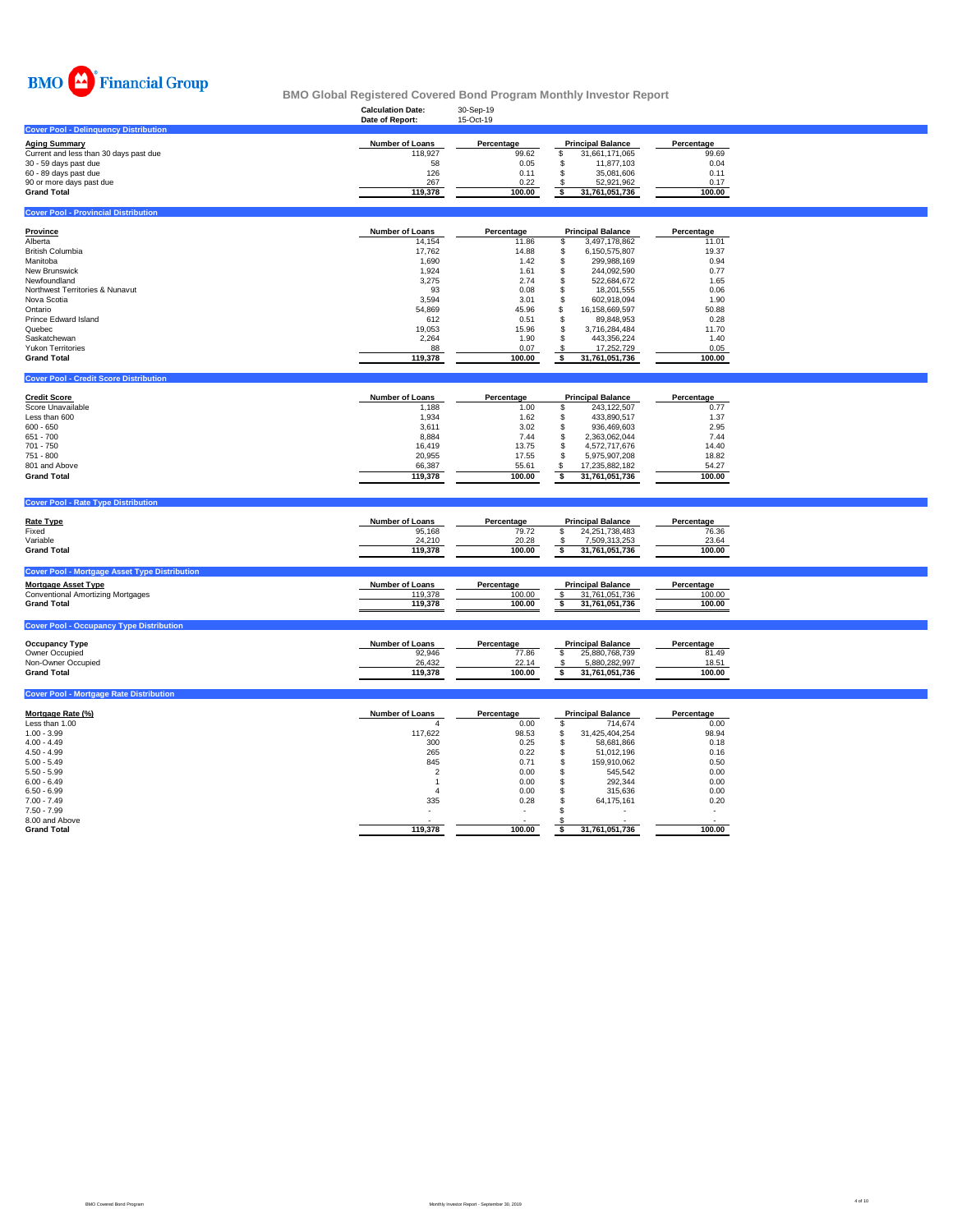

|                                                      | <b>Calculation Date:</b><br>Date of Report: | 30-Sep-19<br>15-Oct-19 |                                           |                    |  |
|------------------------------------------------------|---------------------------------------------|------------------------|-------------------------------------------|--------------------|--|
| <b>Cover Pool - Delinquency Distribution</b>         |                                             |                        |                                           |                    |  |
| <b>Aging Summary</b>                                 | <b>Number of Loans</b>                      | Percentage             | <b>Principal Balance</b>                  | Percentage         |  |
| Current and less than 30 days past due               | 118,927                                     | 99.62                  | \$<br>31,661,171,065                      | 99.69              |  |
| 30 - 59 days past due                                | 58                                          | 0.05                   | \$<br>11,877,103                          | 0.04               |  |
| 60 - 89 days past due                                | 126                                         | 0.11                   | \$<br>35,081,606                          | 0.11               |  |
| 90 or more days past due                             | 267                                         | 0.22                   | 52,921,962<br>-S                          | 0.17               |  |
| <b>Grand Total</b>                                   | 119,378                                     | 100.00                 | \$<br>31,761,051,736                      | 100.00             |  |
|                                                      |                                             |                        |                                           |                    |  |
| <b>Cover Pool - Provincial Distribution</b>          |                                             |                        |                                           |                    |  |
| <b>Province</b>                                      | Number of Loans                             | Percentage             | <b>Principal Balance</b>                  | Percentage         |  |
| Alberta                                              | 14,154                                      | 11.86                  | \$<br>3,497,178,862                       | 11.01              |  |
| <b>British Columbia</b>                              | 17,762                                      | 14.88                  | \$<br>6,150,575,807                       | 19.37              |  |
| Manitoba                                             | 1,690                                       | 1.42                   | \$<br>299,988,169                         | 0.94               |  |
| New Brunswick                                        | 1,924                                       | 1.61                   | \$<br>244,092,590                         | 0.77               |  |
| Newfoundland                                         | 3,275                                       | 2.74                   | \$<br>522,684,672                         | 1.65               |  |
| Northwest Territories & Nunavut                      | 93                                          | 0.08                   | \$<br>18,201,555                          | 0.06               |  |
| Nova Scotia                                          | 3,594                                       | 3.01                   | \$<br>602,918,094                         | 1.90               |  |
| Ontario                                              | 54,869                                      | 45.96                  | \$<br>16,158,669,597                      | 50.88              |  |
| Prince Edward Island                                 |                                             | 0.51                   | \$                                        | 0.28               |  |
|                                                      | 612                                         |                        | 89,848,953                                |                    |  |
| Quebec                                               | 19,053                                      | 15.96                  | \$<br>3,716,284,484                       | 11.70              |  |
| Saskatchewan                                         | 2,264                                       | 1.90                   | \$<br>443,356,224                         | 1.40               |  |
| <b>Yukon Territories</b>                             | 88                                          | 0.07                   | \$<br>17,252,729                          | 0.05               |  |
| <b>Grand Total</b>                                   | 119,378                                     | 100.00                 | \$<br>31,761,051,736                      | 100.00             |  |
| <b>Cover Pool - Credit Score Distribution</b>        |                                             |                        |                                           |                    |  |
|                                                      | <b>Number of Loans</b>                      |                        |                                           |                    |  |
| <b>Credit Score</b><br>Score Unavailable             |                                             | Percentage             | <b>Principal Balance</b><br>243,122,507   | Percentage<br>0.77 |  |
|                                                      | 1,188                                       | 1.00                   | \$                                        |                    |  |
| Less than 600                                        | 1,934                                       | 1.62                   | \$<br>433,890,517                         | 1.37               |  |
| $600 - 650$                                          | 3,611                                       | 3.02                   | \$<br>936,469,603                         | 2.95               |  |
| 651 - 700                                            | 8,884                                       | 7.44                   | \$<br>2,363,062,044                       | 7.44               |  |
| 701 - 750                                            | 16,419                                      | 13.75                  | \$<br>4,572,717,676                       | 14.40              |  |
| 751 - 800                                            | 20,955                                      | 17.55                  | \$<br>5,975,907,208                       | 18.82              |  |
| 801 and Above                                        | 66,387                                      | 55.61                  | \$<br>17,235,882,182                      | 54.27              |  |
| <b>Grand Total</b>                                   | 119,378                                     | 100.00                 | \$<br>31,761,051,736                      | 100.00             |  |
|                                                      |                                             |                        |                                           |                    |  |
| <b>Cover Pool - Rate Type Distribution</b>           |                                             |                        |                                           |                    |  |
| <b>Rate Type</b>                                     | <b>Number of Loans</b>                      | Percentage             | <b>Principal Balance</b>                  | Percentage         |  |
| Fixed                                                | 95,168                                      | 79.72                  | 24,251,738,483<br>\$                      | 76.36              |  |
| Variable                                             | 24,210                                      | 20.28                  | 7,509,313,253<br>-S                       | 23.64              |  |
| <b>Grand Total</b>                                   | 119,378                                     | 100.00                 | $\overline{\mathbf{s}}$<br>31,761,051,736 | 100.00             |  |
|                                                      |                                             |                        |                                           |                    |  |
| <b>Cover Pool - Mortgage Asset Type Distribution</b> |                                             |                        |                                           |                    |  |
| <b>Mortgage Asset Type</b>                           | <b>Number of Loans</b>                      | Percentage             | <b>Principal Balance</b>                  | Percentage         |  |
| <b>Conventional Amortizing Mortgages</b>             | 119,378                                     | 100.00                 | $\mathsf{\$}$<br>31,761,051,736           | 100.00             |  |
| <b>Grand Total</b>                                   | 119,378                                     | 100.00                 | \$<br>31,761,051,736                      | 100.00             |  |
| <b>Cover Pool - Occupancy Type Distribution</b>      |                                             |                        |                                           |                    |  |
|                                                      |                                             |                        |                                           |                    |  |
| <b>Occupancy Type</b>                                | <b>Number of Loans</b>                      | Percentage             | <b>Principal Balance</b>                  | Percentage         |  |
| Owner Occupied                                       | 92,946                                      | 77.86                  | \$<br>25,880,768,739                      | 81.49              |  |
| Non-Owner Occupied                                   | 26,432                                      | 22.14                  | 5,880,282,997<br>-S                       | 18.51              |  |
| <b>Grand Total</b>                                   | 119,378                                     | 100.00                 | \$<br>31,761,051,736                      | 100.00             |  |
| <b>Cover Pool - Mortgage Rate Distribution</b>       |                                             |                        |                                           |                    |  |
|                                                      |                                             |                        |                                           |                    |  |
| Mortgage Rate (%)                                    | <b>Number of Loans</b>                      | Percentage             | <b>Principal Balance</b>                  | Percentage         |  |
| Less than 1.00                                       | $\boldsymbol{\Delta}$                       | 0.00                   | \$<br>714,674                             | 0.00               |  |
| $1.00 - 3.99$                                        | 117,622                                     | 98.53                  | \$<br>31,425,404,254                      | 98.94              |  |
| $4.00 - 4.49$                                        | 300                                         | 0.25                   | \$<br>58,681,866                          | 0.18               |  |
| $4.50 - 4.99$                                        | 265                                         | 0.22                   | 51,012,196<br>S                           | 0.16               |  |

5.00 - 5.49 845 0.71 \$ 159,910,062 0.50  $5.50$  -  $5.99$   $545,542$   $0.00$   $5$   $545,542$   $0.00$  $6.00$  -  $6.49$   $292,344$   $0.00$  $6.50 \cdot 6.99$   $315,636$   $0.00$   $3.5$ ,  $315,636$   $0.00$ 7.00 - 7.49 335 0.28 \$ 64,175,161 0.20 7.50 - 7.99 - - \$ - - 8.00 and Above  $\sim$  -  $\sim$  -  $\sim$  -  $\sim$  -  $\sim$  -  $\sim$  -  $\sim$  -  $\sim$  -  $\sim$  -  $\sim$  -  $\sim$  -  $\sim$  -  $\sim$  -  $\sim$  -  $\sim$  -  $\sim$  -  $\sim$  -  $\sim$  -  $\sim$  -  $\sim$  -  $\sim$  -  $\sim$  -  $\sim$  -  $\sim$  -  $\sim$  -  $\sim$  -  $\sim$  -  $\sim$  -  $\sim$  -  $\sim$ **Grand Total 119,378 100.00 \$ 31,761,051,736 100.00**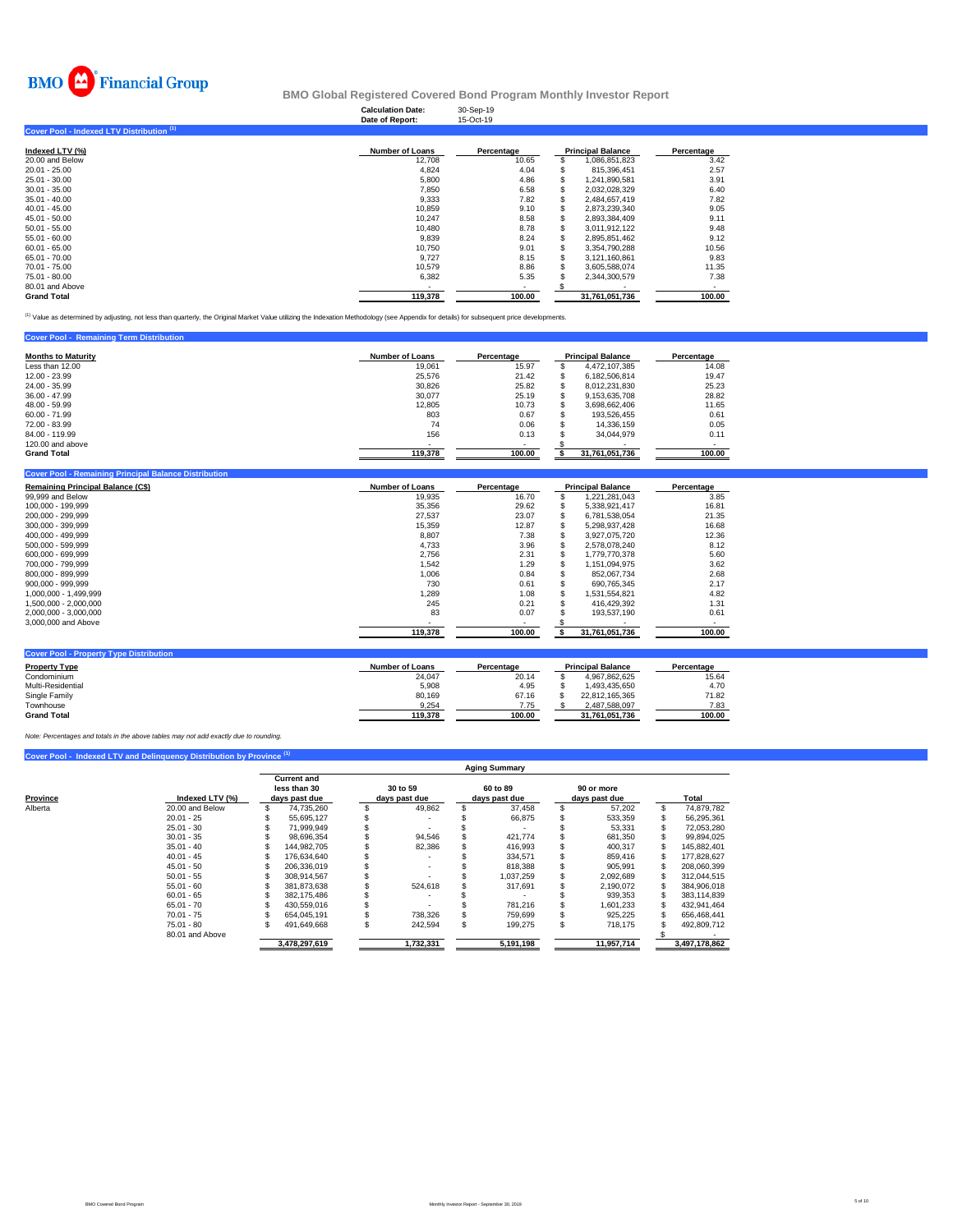

|                                           | <b>Calculation Date:</b><br>Date of Report: | 30-Sep-19<br>15-Oct-19 |                          |            |
|-------------------------------------------|---------------------------------------------|------------------------|--------------------------|------------|
| Cover Pool - Indexed LTV Distribution (1) |                                             |                        |                          |            |
| Indexed LTV (%)                           | <b>Number of Loans</b>                      | Percentage             | <b>Principal Balance</b> | Percentage |
| 20.00 and Below                           | 12,708                                      | 10.65                  | 1,086,851,823            | 3.42       |
| 20.01 - 25.00                             | 4,824                                       | 4.04                   | 815,396,451              | 2.57       |
| 25.01 - 30.00                             | 5,800                                       | 4.86                   | 1,241,890,581            | 3.91       |
| 30.01 - 35.00                             | 7,850                                       | 6.58                   | 2,032,028,329            | 6.40       |
| 35.01 - 40.00                             | 9,333                                       | 7.82                   | 2,484,657,419            | 7.82       |
| 40.01 - 45.00                             | 10,859                                      | 9.10                   | 2,873,239,340            | 9.05       |
| 45.01 - 50.00                             | 10,247                                      | 8.58                   | 2,893,384,409            | 9.11       |
| 50.01 - 55.00                             | 10,480                                      | 8.78                   | 3,011,912,122            | 9.48       |
| 55.01 - 60.00                             | 9,839                                       | 8.24                   | 2,895,851,462            | 9.12       |
| 60.01 - 65.00                             | 10.750                                      | 9.01                   | 3,354,790,288            | 10.56      |
| 65.01 - 70.00                             | 9.727                                       | 8.15                   | 3,121,160,861            | 9.83       |
| 70.01 - 75.00                             | 10,579                                      | 8.86                   | 3,605,588,074            | 11.35      |
| 75.01 - 80.00                             | 6,382                                       | 5.35                   | 2,344,300,579            | 7.38       |
| 80.01 and Above                           | ۰                                           | $\blacksquare$         |                          |            |
| <b>Grand Total</b>                        | 119.378                                     | 100.00                 | 31.761.051.736           | 100.00     |

<sup>(1)</sup> Value as determined by adjusting, not less than quarterly, the Original Market Value utilizing the Indexation Methodology (see Appendix for details) for subsequent price developments.

| <b>Cover Pool - Remaining Term Distribution</b> |                 |                        |  |                          |            |  |
|-------------------------------------------------|-----------------|------------------------|--|--------------------------|------------|--|
| <b>Months to Maturity</b>                       | Number of Loans | Percentage             |  | <b>Principal Balance</b> | Percentage |  |
| Less than 12.00                                 | 19.061          | 15.97<br>4.472.107.385 |  |                          |            |  |
| 12.00 - 23.99                                   | 25.576          | 21.42                  |  | 6.182.506.814            | 19.47      |  |
| 24.00 - 35.99                                   | 30.826          | 25.82                  |  | 8.012.231.830            | 25.23      |  |
| $36.00 - 47.99$                                 | 30.077          | 25.19                  |  | 9.153.635.708            | 28.82      |  |
| 48.00 - 59.99                                   | 12.805          | 10.73                  |  | 3.698.662.406            | 11.65      |  |
| $60.00 - 71.99$                                 | 803             | 0.67                   |  | 193.526.455              | 0.61       |  |
| 72.00 - 83.99                                   | 74              | 0.06                   |  | 14.336.159               | 0.05       |  |
| 84.00 - 119.99                                  | 156             | 0.13                   |  | 34.044.979               | 0.11       |  |
| 120,00 and above                                |                 |                        |  |                          |            |  |
| <b>Grand Total</b>                              | 119,378         | 100.00                 |  | 31,761,051,736           | 100.00     |  |

| <b>Cover Pool - Remaining Principal Balance Distribution</b> |                        |            |                          |            |
|--------------------------------------------------------------|------------------------|------------|--------------------------|------------|
| <b>Remaining Principal Balance (C\$)</b>                     | <b>Number of Loans</b> | Percentage | <b>Principal Balance</b> | Percentage |
| 99,999 and Below                                             | 19.935                 | 16.70      | 1,221,281,043            | 3.85       |
| 100,000 - 199,999                                            | 35,356                 | 29.62      | 5,338,921,417            | 16.81      |
| 200,000 - 299,999                                            | 27,537                 | 23.07      | 6,781,538,054            | 21.35      |
| 300.000 - 399.999                                            | 15,359                 | 12.87      | 5,298,937,428            | 16.68      |
| 400.000 - 499.999                                            | 8,807                  | 7.38       | 3.927.075.720            | 12.36      |
| 500,000 - 599,999                                            | 4,733                  | 3.96       | 2,578,078,240            | 8.12       |
| 600.000 - 699.999                                            | 2.756                  | 2.31       | 1.779.770.378            | 5.60       |
| 700.000 - 799.999                                            | 1,542                  | 1.29       | 1.151.094.975            | 3.62       |
| 800.000 - 899.999                                            | 1,006                  | 0.84       | 852,067,734              | 2.68       |
| 900.000 - 999.999                                            | 730                    | 0.61       | 690.765.345              | 2.17       |
| 1.000.000 - 1.499.999                                        | 1,289                  | 1.08       | 1,531,554,821            | 4.82       |
| 1,500,000 - 2,000,000                                        | 245                    | 0.21       | 416,429,392              | 1.31       |
| 2.000.000 - 3.000.000                                        | 83                     | 0.07       | 193.537.190              | 0.61       |
| 3,000,000 and Above                                          |                        |            |                          |            |
|                                                              | 119,378                | 100.00     | 31.761.051.736           | 100.00     |
|                                                              |                        |            |                          |            |

| <b>Cover Pool - Property Type Distribution</b> |                        |            |                          |            |
|------------------------------------------------|------------------------|------------|--------------------------|------------|
| <b>Property Type</b>                           | <b>Number of Loans</b> | Percentage | <b>Principal Balance</b> | Percentage |
| Condominium                                    | 24.047                 | 20.14      | 4.967.862.625            | 15.64      |
| Multi-Residential                              | 5,908                  | 4.95       | 1.493.435.650            | 4.70       |
| Single Family                                  | 80.169                 | 67.16      | 22.812.165.365           | 71.82      |
| Townhouse                                      | 9.254                  | 7.75       | 2.487.588.097            | 7.83       |
| <b>Grand Total</b>                             | 119.378                | 100.00     | 31.761.051.736           | 100.00     |

*Note: Percentages and totals in the above tables may not add exactly due to rounding.*

|          |                 | <b>Aging Summary</b> |                                    |    |               |    |               |     |               |   |               |  |  |  |
|----------|-----------------|----------------------|------------------------------------|----|---------------|----|---------------|-----|---------------|---|---------------|--|--|--|
|          |                 |                      | <b>Current and</b><br>less than 30 |    | 30 to 59      |    | 60 to 89      |     | 90 or more    |   |               |  |  |  |
| Province | Indexed LTV (%) |                      | days past due                      |    | days past due |    | days past due |     | days past due |   | Total         |  |  |  |
| Alberta  | 20.00 and Below |                      | 74,735,260                         |    | 49,862        |    | 37,458        |     | 57,202        | S | 74,879,782    |  |  |  |
|          | $20.01 - 25$    |                      | 55.695.127                         |    |               |    | 66.875        |     | 533,359       |   | 56,295,361    |  |  |  |
|          | $25.01 - 30$    |                      | 71.999.949                         |    |               |    |               |     | 53,331        |   | 72.053.280    |  |  |  |
|          | $30.01 - 35$    |                      | 98.696.354                         |    | 94,546        |    | 421.774       |     | 681,350       |   | 99,894,025    |  |  |  |
|          | $35.01 - 40$    |                      | 144.982.705                        |    | 82,386        |    | 416.993       |     | 400.317       |   | 145.882.401   |  |  |  |
|          | $40.01 - 45$    |                      | 176.634.640                        |    |               |    | 334.571       |     | 859.416       |   | 177.828.627   |  |  |  |
|          | $45.01 - 50$    |                      | 206.336.019                        |    |               |    | 818,388       |     | 905.991       |   | 208,060,399   |  |  |  |
|          | $50.01 - 55$    |                      | 308.914.567                        |    |               |    | 037.259       |     | 2.092.689     |   | 312.044.515   |  |  |  |
|          | $55.01 - 60$    |                      | 381,873,638                        |    | 524.618       |    | 317,691       |     | 2,190,072     |   | 384,906,018   |  |  |  |
|          | $60.01 - 65$    |                      | 382.175.486                        |    |               |    |               |     | 939.353       |   | 383.114.839   |  |  |  |
|          | $65.01 - 70$    |                      | 430.559.016                        |    |               |    | 781,216       |     | 1.601.233     |   | 432.941.464   |  |  |  |
|          | $70.01 - 75$    |                      | 654.045.191                        |    | 738.326       |    | 759.699       |     | 925,225       |   | 656.468.441   |  |  |  |
|          | $75.01 - 80$    |                      | 491.649.668                        | ă. | 242,594       | ă. | 199,275       | \$. | 718.175       |   | 492,809,712   |  |  |  |
|          | 80.01 and Above |                      |                                    |    |               |    |               |     |               |   |               |  |  |  |
|          |                 |                      | 3,478,297,619                      |    | 1,732,331     |    | 5,191,198     |     | 11,957,714    |   | 3,497,178,862 |  |  |  |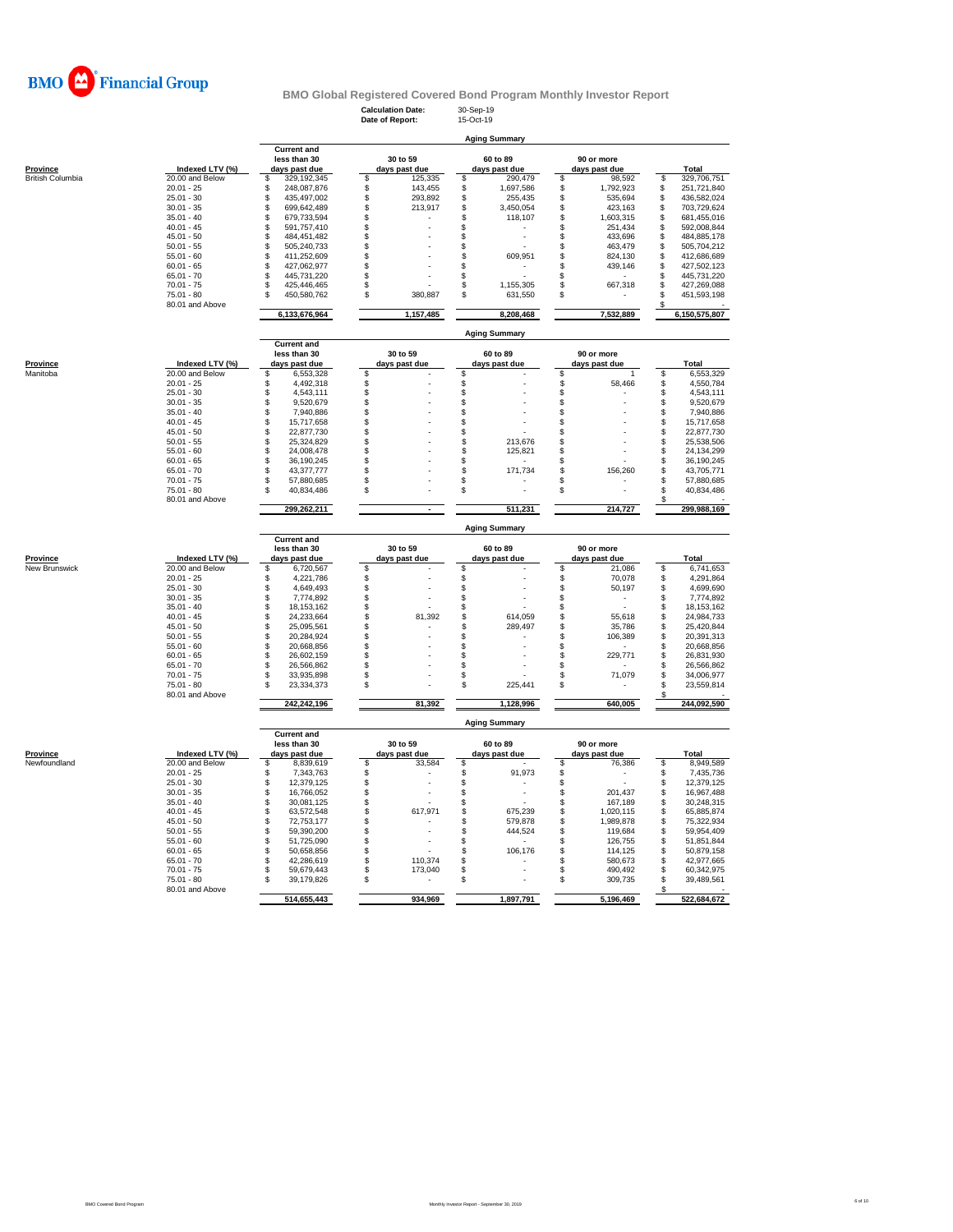

**Calculation Date:** 30-Sep-19

|                         |                                   |                                    | Date of Report:                | 15-Oct-19                        |                           |                                  |
|-------------------------|-----------------------------------|------------------------------------|--------------------------------|----------------------------------|---------------------------|----------------------------------|
|                         |                                   |                                    |                                | <b>Aging Summary</b>             |                           |                                  |
|                         |                                   | <b>Current and</b>                 |                                |                                  |                           |                                  |
|                         |                                   | less than 30                       | 30 to 59                       | 60 to 89                         | 90 or more                |                                  |
| <b>Province</b>         | Indexed LTV (%)                   | days past due                      | days past due                  | days past due                    | days past due             | Total                            |
| <b>British Columbia</b> | $20.00$ and Below<br>$20.01 - 25$ | \$<br>329,192,345<br>248,087,876   | 125,335<br>\$<br>\$<br>143,455 | \$<br>290,479<br>\$<br>1,697,586 | \$<br>98,592<br>1,792,923 | 329,706,751<br>\$<br>251,721,840 |
|                         | $25.01 - 30$                      | \$<br>\$<br>435,497,002            | \$<br>293,892                  | \$<br>255,435                    | \$<br>\$<br>535,694       | \$<br>\$<br>436,582,024          |
|                         | $30.01 - 35$                      | \$<br>699,642,489                  | \$<br>213,917                  | \$<br>3,450,054                  | \$<br>423,163             | \$<br>703,729,624                |
|                         | $35.01 - 40$                      | \$<br>679,733,594                  | \$                             | \$<br>118,107                    | \$<br>1,603,315           | \$<br>681,455,016                |
|                         | $40.01 - 45$                      | \$<br>591,757,410                  | \$                             | \$                               | \$<br>251,434             | \$<br>592,008,844                |
|                         | $45.01 - 50$                      | \$<br>484,451,482                  | \$                             | \$                               | \$<br>433,696             | \$<br>484,885,178                |
|                         | $50.01 - 55$                      | \$<br>505,240,733                  | \$                             | \$                               | \$<br>463,479             | \$<br>505,704,212                |
|                         | $55.01 - 60$                      | \$<br>411,252,609                  | \$                             | \$<br>609,951                    | \$<br>824,130             | 412,686,689<br>\$                |
|                         | $60.01 - 65$                      | \$<br>427,062,977                  | \$                             | \$                               | \$<br>439,146             | \$<br>427,502,123                |
|                         | $65.01 - 70$                      | \$<br>445,731,220                  | \$                             | \$                               | \$                        | $\dot{\hat{s}}$<br>445,731,220   |
|                         | $70.01 - 75$                      | \$<br>425,446,465                  | \$                             | \$<br>1,155,305                  | \$<br>667,318             | \$<br>427,269,088                |
|                         | 75.01 - 80                        | \$.<br>450,580,762                 | 380,887<br>\$.                 | \$<br>631,550                    | \$                        | \$<br>451,593,198                |
|                         | 80.01 and Above                   | 6,133,676,964                      | 1,157,485                      | 8,208,468                        | 7,532,889                 | S<br>6,150,575,807               |
|                         |                                   |                                    |                                |                                  |                           |                                  |
|                         |                                   | <b>Current and</b>                 |                                | <b>Aging Summary</b>             |                           |                                  |
|                         |                                   | less than 30                       | 30 to 59                       | 60 to 89                         | 90 or more                |                                  |
| Province                | Indexed LTV (%)                   | days past due                      | days past due                  | days past due                    | days past due             | Total                            |
| Manitoba                | 20.00 and Below                   | \$<br>6,553,328                    | \$                             | \$                               | \$<br>$\mathbf{1}$        | 6,553,329<br>\$                  |
|                         | $20.01 - 25$                      | 4,492,318<br>\$                    | \$                             | \$                               | \$<br>58,466              | 4,550,784<br>\$                  |
|                         | $25.01 - 30$                      | \$<br>4,543,111                    | \$                             | \$                               | \$                        | 4,543,111<br>\$                  |
|                         | $30.01 - 35$                      | \$<br>9,520,679                    | \$                             | \$                               | \$                        | 9,520,679<br>\$                  |
|                         | $35.01 - 40$                      | \$<br>7,940,886                    | \$                             | \$                               | \$                        | 7,940,886<br>\$                  |
|                         | $40.01 - 45$                      | \$<br>15,717,658                   | \$                             | \$                               | \$                        | 15,717,658<br>\$                 |
|                         | $45.01 - 50$                      | \$<br>22,877,730                   | \$                             | \$                               | \$                        | \$<br>22,877,730                 |
|                         | $50.01 - 55$                      | \$<br>25,324,829                   | \$                             | \$<br>213,676                    | \$                        | 25,538,506<br>\$                 |
|                         | $55.01 - 60$                      | \$<br>24,008,478                   | \$                             | \$<br>125,821                    | \$                        | 24,134,299<br>\$                 |
|                         | $60.01 - 65$                      | \$<br>36,190,245                   | \$                             | \$                               | \$                        | 36,190,245<br>\$                 |
|                         | $65.01 - 70$                      | \$<br>43,377,777                   | \$<br>S                        | \$<br>171,734                    | \$<br>156,260             | \$<br>43,705,771                 |
|                         | $70.01 - 75$                      | \$<br>57,880,685                   |                                | \$<br>\$                         | \$                        | \$<br>57,880,685<br>S            |
|                         | $75.01 - 80$<br>80.01 and Above   | 40,834,486                         | \$                             |                                  | \$                        | 40,834,486                       |
|                         |                                   | 299,262,211                        |                                | 511,231                          | 214,727                   | 299,988,169                      |
|                         |                                   |                                    |                                | <b>Aging Summary</b>             |                           |                                  |
|                         |                                   | <b>Current and</b><br>less than 30 | 30 to 59                       | 60 to 89                         | 90 or more                |                                  |
| Province                | Indexed LTV (%)                   | days past due                      | days past due                  | days past due                    | days past due             | Total                            |
| New Brunswick           | 20.00 and Below                   | \$<br>6,720,567                    | \$                             | \$                               | \$<br>21,086              | 6,741,653<br>S                   |
|                         | $20.01 - 25$                      | \$<br>4,221,786                    | \$                             | \$                               | \$<br>70,078              | 4,291,864<br>S                   |
|                         | $25.01 - 30$                      | 4,649,493<br>\$                    | \$                             | \$                               | \$<br>50,197              | 4,699,690<br>S                   |
|                         | $30.01 - 35$                      | \$<br>7,774,892                    | \$                             | \$                               | \$                        | 7,774,892<br>S                   |
|                         | $35.01 - 40$                      | \$<br>18,153,162                   | \$                             | \$                               | \$<br>$\sim$              | 18, 153, 162<br>\$               |
|                         | $40.01 - 45$                      | \$<br>24,233,664                   | 81,392<br>s                    | \$<br>614,059                    | \$<br>55,618              | 24,984,733<br>\$.                |
|                         | $45.01 - 50$                      | \$<br>25,095,561                   | \$                             | \$<br>289,497                    | \$<br>35,786              | 25,420,844<br>\$                 |
|                         | $50.01 - 55$                      | \$<br>20,284,924                   | \$                             | \$                               | \$<br>106,389             | S<br>20,391,313                  |
|                         | $55.01 - 60$                      | \$<br>20,668,856                   | \$                             | \$                               | \$                        | 20,668,856<br>S                  |
|                         | $60.01 - 65$                      | \$<br>26,602,159                   | \$                             | \$                               | \$<br>229,771             | 26,831,930<br>S                  |
|                         | $65.01 - 70$                      | \$<br>26,566,862                   | \$                             | \$                               | \$                        | \$<br>26,566,862                 |
|                         | $70.01 - 75$                      | \$<br>33,935,898                   | S                              | \$                               | \$<br>71,079              | \$<br>34,006,977                 |
|                         | $75.01 - 80$<br>80.01 and Above   | 23,334,373                         | S                              | \$<br>225,441                    | \$                        | \$<br>23,559,814                 |
|                         |                                   | 242,242,196                        | 81,392                         | 1,128,996                        | 640.005                   | 244,092,590                      |
|                         |                                   |                                    |                                | <b>Aging Summary</b>             |                           |                                  |
|                         |                                   | <b>Current and</b><br>less than 30 | 30 to 59                       | 60 to 89                         | 90 or more                |                                  |
| <b>Province</b>         | Indexed LTV (%)                   | days past due                      | days past due                  | days past due                    | days past due             | Total                            |
| Newfoundland            | 20.00 and Below                   | 8,839,619<br>\$                    | \$<br>33,584                   | \$                               | \$<br>76,386              | \$<br>8,949,589                  |
|                         | $20.01 - 25$                      | \$<br>7,343,763                    | \$                             | \$<br>91,973                     | \$<br>٠                   | 7,435,736<br>\$                  |
|                         | $25.01 - 30$                      | 12,379,125<br>\$                   | \$                             | \$<br>$\overline{\phantom{a}}$   | \$                        | 12,379,125<br>S                  |
|                         | $30.01 - 35$                      | \$<br>16,766,052                   | \$                             | \$                               | \$<br>201,437             | 16,967,488<br>\$                 |
|                         | $35.01 - 40$                      | \$<br>30,081,125                   | \$                             | \$                               | \$<br>167,189             | \$<br>30,248,315                 |
|                         | $40.01 - 45$                      | \$<br>63,572,548                   | \$<br>617,971                  | \$<br>675,239                    | \$<br>1,020,115           | 65,885,874<br>\$                 |
|                         | $45.01 - 50$                      | \$<br>72,753,177                   | \$                             | \$<br>579,878                    | \$<br>1,989,878           | \$<br>75,322,934                 |
|                         | $50.01 - 55$                      | \$<br>59,390,200                   | \$                             | \$<br>444,524                    | \$<br>119,684             | \$<br>59,954,409                 |
|                         | $55.01 - 60$                      | \$<br>51,725,090                   | \$                             | \$                               | \$<br>126,755             | 51,851,844<br>\$                 |
|                         | $60.01 - 65$                      | \$<br>50,658,856                   | \$                             | \$<br>106,176                    | \$<br>114,125             | 50,879,158<br>\$                 |
|                         | $65.01 - 70$                      | \$<br>42,286,619                   | \$<br>110,374                  | \$                               | \$<br>580,673             | \$<br>42,977,665                 |
|                         | $70.01 - 75$                      | \$<br>59,679,443                   | \$<br>173,040                  | \$                               | \$<br>490,492             | \$<br>60,342,975                 |
|                         | $75.01 - 80$                      | \$<br>39,179,826                   | S                              | \$                               | \$<br>309,735             | \$<br>39,489,561                 |
|                         |                                   |                                    |                                |                                  |                           | \$                               |
|                         | 80.01 and Above                   | 514,655,443                        | 934,969                        | 1,897,791                        | 5,196,469                 | 522,684,672                      |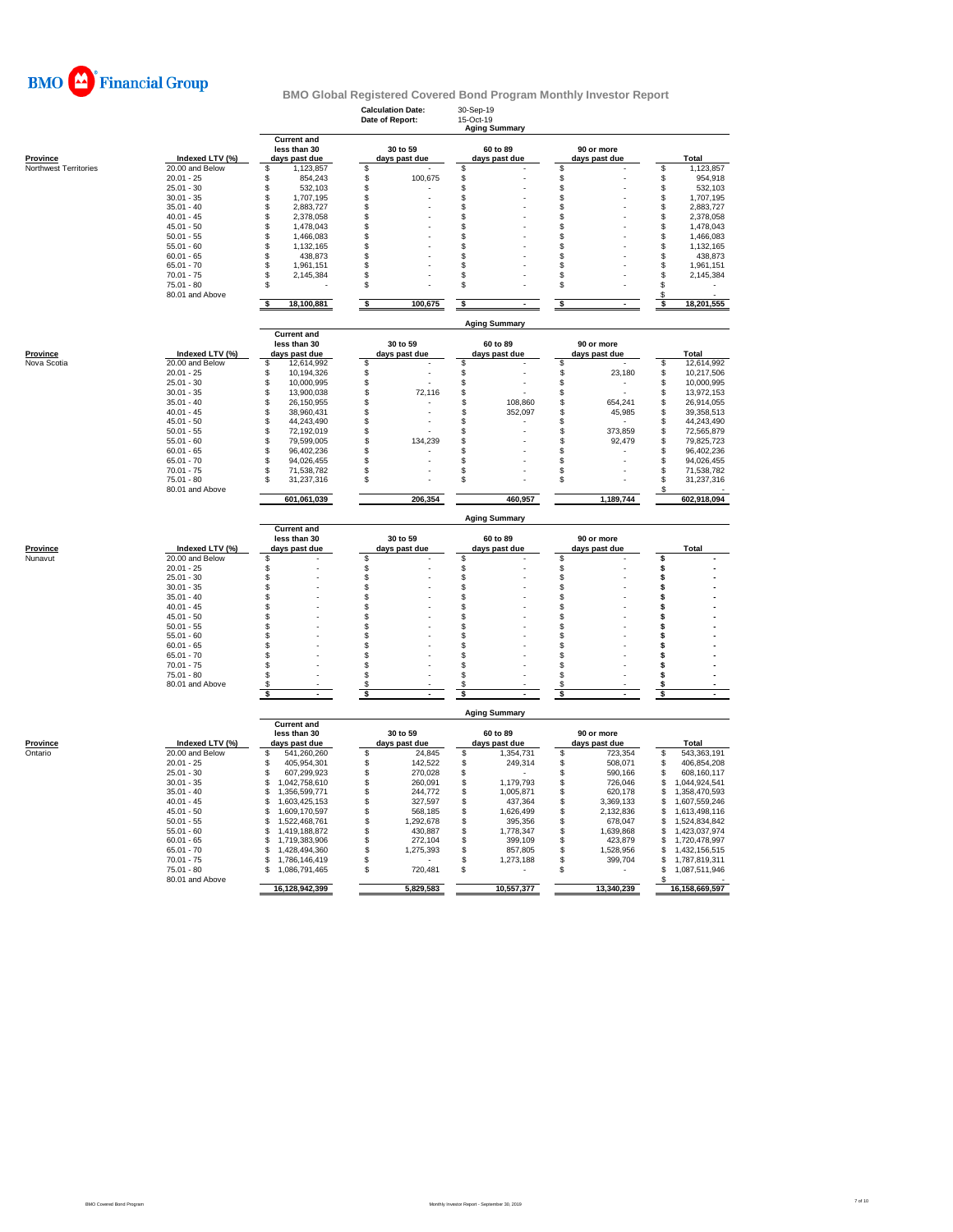

|                       |                                 |                                            |          | <b>Calculation Date:</b><br>Date of Report: | 30-Sep-19<br>15-Oct-19 | <b>Aging Summary</b> |          |               |          |                                |  |  |
|-----------------------|---------------------------------|--------------------------------------------|----------|---------------------------------------------|------------------------|----------------------|----------|---------------|----------|--------------------------------|--|--|
|                       |                                 | <b>Current and</b><br>less than 30         |          | 30 to 59                                    |                        | 60 to 89             |          | 90 or more    |          |                                |  |  |
| <b>Province</b>       | Indexed LTV (%)                 | days past due                              |          | days past due                               |                        | days past due        |          | days past due |          | Total                          |  |  |
| Northwest Territories | 20.00 and Below<br>$20.01 - 25$ | \$<br>1,123,857<br>\$<br>854,243           | \$<br>\$ | 100,675                                     | \$<br>\$               |                      | \$<br>\$ |               | \$<br>\$ | 1,123,857<br>954,918           |  |  |
|                       | $25.01 - 30$                    | \$<br>532,103                              | \$       |                                             | \$                     |                      | \$       |               | \$       | 532.103                        |  |  |
|                       | $30.01 - 35$                    | \$<br>1,707,195                            | \$       |                                             | \$                     |                      | \$       |               | \$       | 1,707,195                      |  |  |
|                       | $35.01 - 40$                    | \$<br>2,883,727                            | S        |                                             | \$                     |                      | S        |               | \$       | 2,883,727                      |  |  |
|                       | $40.01 - 45$                    | \$<br>2,378,058                            | S        |                                             | \$                     |                      | \$       |               | \$       | 2,378,058                      |  |  |
|                       | $45.01 - 50$                    | \$<br>1,478,043                            | S        |                                             | \$                     |                      | \$       |               | \$       | 1,478,043                      |  |  |
|                       | $50.01 - 55$                    | \$<br>1,466,083                            | S        |                                             | \$                     |                      | \$       |               | \$       | 1,466,083                      |  |  |
|                       | $55.01 - 60$                    | \$<br>1,132,165                            | S        |                                             | \$                     |                      | \$       |               | \$       | 1,132,165                      |  |  |
|                       | $60.01 - 65$                    | \$<br>438,873                              | \$       |                                             | \$                     |                      | \$       |               | \$       | 438,873                        |  |  |
|                       | $65.01 - 70$                    | \$<br>1,961,151                            | £.       |                                             | \$                     |                      | \$       |               | \$       | 1,961,151                      |  |  |
|                       | $70.01 - 75$                    | \$<br>2,145,384                            | \$       |                                             | \$                     |                      | \$       |               | \$       | 2,145,384                      |  |  |
|                       | 75.01 - 80<br>80.01 and Above   | \$                                         | \$       |                                             | \$                     |                      | \$       |               | \$<br>\$ |                                |  |  |
|                       |                                 | \$<br>18,100,881                           | \$       | 100,675                                     | \$                     |                      | \$       |               | s        | 18,201,555                     |  |  |
|                       |                                 | <b>Current and</b>                         |          |                                             |                        | <b>Aging Summary</b> |          |               |          |                                |  |  |
|                       |                                 | less than 30                               |          | 30 to 59                                    |                        | 60 to 89             |          | 90 or more    |          |                                |  |  |
| <b>Province</b>       | Indexed LTV (%)                 | days past due                              |          | days past due                               |                        | days past due        |          | days past due |          | Total                          |  |  |
| Nova Scotia           | 20.00 and Below                 | \$<br>12,614,992                           | \$       |                                             | \$                     |                      | \$       |               | \$       | 12,614,992                     |  |  |
|                       | $20.01 - 25$                    | \$<br>10,194,326                           | \$       |                                             | \$                     |                      | \$       | 23,180        | \$       | 10,217,506                     |  |  |
|                       | $25.01 - 30$                    | \$<br>10,000,995                           | S        |                                             | \$                     |                      | \$       | ٠             | \$       | 10,000,995                     |  |  |
|                       | $30.01 - 35$                    | \$<br>13,900,038                           | \$       | 72,116                                      | \$                     |                      | \$       |               | \$       | 13,972,153                     |  |  |
|                       | $35.01 - 40$                    | \$<br>26,150,955                           | \$       |                                             | \$                     | 108,860              | \$       | 654,241       | \$       | 26,914,055                     |  |  |
|                       | $40.01 - 45$                    | \$<br>38,960,431                           | \$.      |                                             | \$                     | 352,097              | \$       | 45,985        | \$       | 39,358,513                     |  |  |
|                       | $45.01 - 50$                    | \$<br>44,243,490                           | S        |                                             | \$                     |                      | \$       |               | \$       | 44,243,490                     |  |  |
|                       | $50.01 - 55$                    | \$<br>72,192,019                           | S        |                                             | \$                     |                      | \$       | 373,859       | \$       | 72,565,879                     |  |  |
|                       | $55.01 - 60$                    | \$<br>79,599,005                           | \$       | 134,239                                     | \$                     |                      | \$       | 92,479        | \$       | 79,825,723                     |  |  |
|                       | $60.01 - 65$                    | \$<br>96,402,236                           | \$       |                                             | \$                     |                      | \$       |               | S        | 96,402,236                     |  |  |
|                       | $65.01 - 70$<br>$70.01 - 75$    | \$<br>94,026,455<br>71.538.782             | S<br>S   |                                             | \$                     |                      | \$<br>\$ |               | \$       | 94,026,455<br>71,538,782       |  |  |
|                       | $75.01 - 80$                    | \$<br>31,237,316<br>\$                     | \$       |                                             | \$<br>\$               |                      | \$       |               | \$<br>\$ | 31,237,316                     |  |  |
|                       | 80.01 and Above                 |                                            |          |                                             |                        |                      |          |               |          |                                |  |  |
|                       |                                 | 601,061,039                                |          | 206,354                                     |                        | 460,957              |          | 1,189,744     |          | 602,918,094                    |  |  |
|                       |                                 |                                            |          |                                             |                        | <b>Aging Summary</b> |          |               |          |                                |  |  |
|                       |                                 | <b>Current and</b><br>less than 30         |          | 30 to 59                                    |                        | 60 to 89             |          | 90 or more    |          |                                |  |  |
| <b>Province</b>       | Indexed LTV (%)                 | days past due                              |          | days past due                               |                        | days past due        |          | days past due |          | <b>Total</b>                   |  |  |
| Nunavut               | 20.00 and Below                 | \$                                         | \$       |                                             | \$                     |                      | \$       |               | Ś        |                                |  |  |
|                       | $20.01 - 25$                    | \$                                         | \$       |                                             | \$                     |                      | \$       |               | \$       |                                |  |  |
|                       | $25.01 - 30$                    | \$                                         | \$       |                                             | \$                     |                      | \$       |               | \$       |                                |  |  |
|                       | $30.01 - 35$                    | \$                                         | \$       |                                             | \$                     |                      | \$       |               | \$       |                                |  |  |
|                       | $35.01 - 40$                    | \$                                         | S        |                                             | \$                     |                      | \$       |               | \$       |                                |  |  |
|                       | $40.01 - 45$                    | \$                                         | S        |                                             | \$                     |                      | \$       |               | \$       |                                |  |  |
|                       | $45.01 - 50$                    | \$                                         | S        |                                             | \$                     |                      | S        |               | \$       |                                |  |  |
|                       | $50.01 - 55$                    | \$                                         | S        |                                             | \$                     |                      | \$       |               | \$       |                                |  |  |
|                       | $55.01 - 60$                    | $\ddot{\$}$                                | \$       |                                             | \$                     |                      | \$       |               | \$       |                                |  |  |
|                       | $60.01 - 65$                    | \$                                         | S        |                                             | \$                     |                      | \$       |               | \$       |                                |  |  |
|                       | $65.01 - 70$                    | \$                                         | S        |                                             | \$                     |                      | \$       |               | Ś        |                                |  |  |
|                       | $70.01 - 75$                    | \$                                         | S        |                                             | \$                     |                      | \$       |               | \$       |                                |  |  |
|                       | 75.01 - 80                      | \$                                         | \$       |                                             | \$                     |                      | \$       |               | \$       |                                |  |  |
|                       | 80.01 and Above                 | \$<br>\$                                   | S<br>\$  |                                             | S<br>\$                |                      | \$<br>\$ |               | \$<br>\$ |                                |  |  |
|                       |                                 | <b>Aging Summary</b>                       |          |                                             |                        |                      |          |               |          |                                |  |  |
|                       |                                 | <b>Current and</b><br>less than 30         |          | 30 to 59                                    |                        | 60 to 89             |          | 90 or more    |          |                                |  |  |
| Province              | Indexed LTV (%)                 | days past due                              |          | days past due                               |                        | days past due        |          | days past due |          | Total                          |  |  |
| Ontario               | 20.00 and Below                 | \$<br>541,260,260                          | \$       | 24,845                                      | \$                     | 1,354,731            | \$       | 723,354       | \$       | 543,363,191                    |  |  |
|                       | $20.01 - 25$                    | 405,954,301<br>\$                          | \$       | 142,522                                     | \$                     | 249,314              | \$       | 508,071       | \$       | 406,854,208                    |  |  |
|                       | $25.01 - 30$                    | $\mathfrak{L}$<br>607,299,923              | \$       | 270,028                                     | \$                     |                      | \$       | 590,166       | \$       | 608,160,117                    |  |  |
|                       | $30.01 - 35$                    | \$<br>1,042,758,610                        | \$       | 260,091                                     | \$                     | 1,179,793            | \$       | 726,046       | \$       | 1,044,924,541                  |  |  |
|                       | $35.01 - 40$                    | \$<br>1,356,599,771                        | \$       | 244,772                                     | \$                     | 1,005,871            | \$       | 620,178       | \$       | 1,358,470,593                  |  |  |
|                       | $40.01 - 45$                    | £.<br>1,603,425,153                        | S        | 327,597                                     | \$                     | 437,364              | \$       | 3,369,133     | \$       | 1,607,559,246                  |  |  |
|                       | $45.01 - 50$                    | \$<br>1,609,170,597                        | \$       | 568,185                                     | \$                     | 1,626,499            | \$       | 2,132,836     | \$       | 1.613.498.116                  |  |  |
|                       | $50.01 - 55$                    | 1,522,468,761<br>S                         | \$       | 1,292,678                                   | \$                     | 395,356              | \$       | 678,047       | \$       | 1,524,834,842                  |  |  |
|                       | $55.01 - 60$                    | £.<br>1,419,188,872                        | \$       | 430,887                                     | \$                     | 1,778,347            | \$       | 1,639,868     | \$       | 1,423,037,974                  |  |  |
|                       | $60.01 - 65$                    | \$<br>1,719,383,906                        | \$       | 272,104                                     | \$                     | 399,109              | \$       | 423,879       | \$       | 1,720,478,997                  |  |  |
|                       | $65.01 - 70$<br>$70.01 - 75$    | 1,428,494,360<br>S                         | \$       | 1,275,393                                   | \$<br>\$               | 857,805              | \$       | 1,528,956     | \$<br>Ś. | 1,432,156,515                  |  |  |
|                       | $75.01 - 80$                    | \$<br>1,786,146,419<br>\$<br>1,086,791,465 | \$<br>\$ | 720,481                                     | \$                     | 1,273,188            | \$<br>\$ | 399,704       | \$       | 1,787,819,311<br>1,087,511,946 |  |  |
|                       | 80.01 and Above                 |                                            |          |                                             |                        |                      |          |               | S        |                                |  |  |
|                       |                                 | 16,128,942,399                             |          | 5.829.583                                   |                        | 10,557,377           |          | 13.340.239    |          | 16,158,669,597                 |  |  |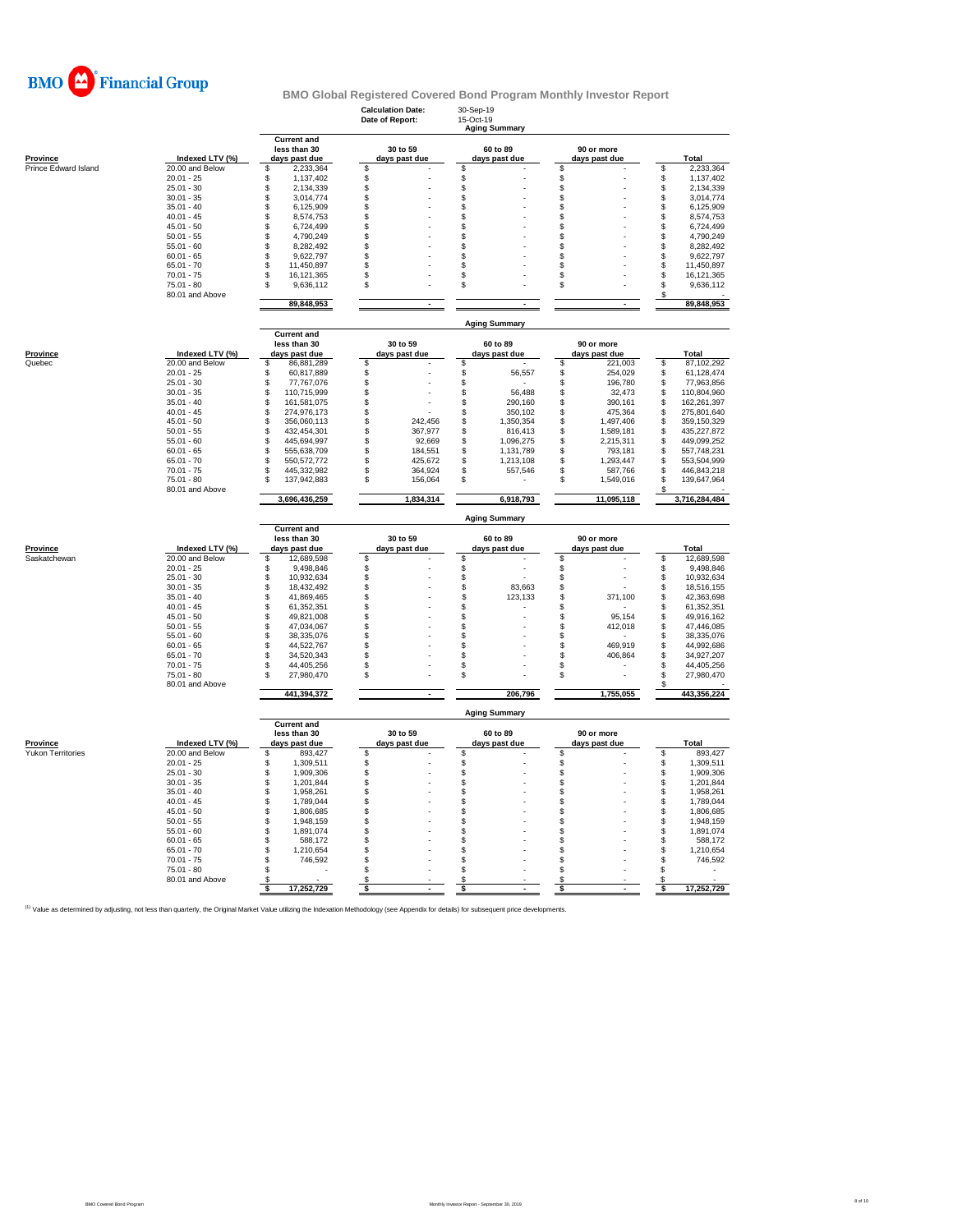

|                      |                                 |                                                     | <b>Calculation Date:</b><br>Date of Report: | 30-Sep-19<br>15-Oct-19<br><b>Aging Summary</b> |                             |                        |  |  |  |  |  |  |
|----------------------|---------------------------------|-----------------------------------------------------|---------------------------------------------|------------------------------------------------|-----------------------------|------------------------|--|--|--|--|--|--|
| <b>Province</b>      | Indexed LTV (%)                 | <b>Current and</b><br>less than 30<br>days past due | 30 to 59<br>days past due                   | 60 to 89<br>days past due                      | 90 or more<br>days past due | Total                  |  |  |  |  |  |  |
| Prince Edward Island | 20.00 and Below                 | S<br>2,233,364                                      | \$                                          | \$                                             | \$                          | 2,233,364<br>S         |  |  |  |  |  |  |
|                      | $20.01 - 25$                    | S<br>1,137,402                                      | \$                                          | \$                                             | \$                          | 1,137,402<br>\$        |  |  |  |  |  |  |
|                      | $25.01 - 30$                    | \$<br>2,134,339                                     | \$                                          | \$                                             | \$                          | \$<br>2,134,339        |  |  |  |  |  |  |
|                      | $30.01 - 35$                    | \$<br>3,014,774                                     | $\mathbb{S}$                                | \$                                             | \$                          | \$<br>3,014,774        |  |  |  |  |  |  |
|                      | $35.01 - 40$                    | \$<br>6,125,909                                     | \$                                          | \$                                             | $\mathbb{S}$                | \$<br>6,125,909        |  |  |  |  |  |  |
|                      | $40.01 - 45$                    | 8,574,753<br>\$                                     | \$                                          | \$                                             | \$                          | \$<br>8,574,753        |  |  |  |  |  |  |
|                      | $45.01 - 50$                    | \$<br>6,724,499                                     | \$                                          | \$                                             | \$                          | \$<br>6,724,499        |  |  |  |  |  |  |
|                      | $50.01 - 55$                    | 4,790,249<br>\$                                     | S                                           | \$                                             | \$                          | \$<br>4,790,249        |  |  |  |  |  |  |
|                      | $55.01 - 60$                    | 8,282,492<br>S                                      | S                                           | \$                                             | S                           | \$<br>8,282,492        |  |  |  |  |  |  |
|                      | $60.01 - 65$                    | \$<br>9,622,797                                     | \$                                          | \$                                             | \$                          | \$<br>9,622,797        |  |  |  |  |  |  |
|                      | $65.01 - 70$                    | \$<br>11,450,897                                    | $\mathbb S$                                 | \$                                             | $$\mathbb{S}$$              | \$<br>11,450,897       |  |  |  |  |  |  |
|                      | $70.01 - 75$                    | S<br>16,121,365                                     | \$                                          | \$                                             | \$                          | \$<br>16,121,365       |  |  |  |  |  |  |
|                      | 75.01 - 80                      | S<br>9,636,112                                      | \$                                          | \$                                             | \$                          | \$<br>9,636,112        |  |  |  |  |  |  |
|                      | 80.01 and Above                 | 89,848,953                                          | $\sim$                                      | ÷                                              | $\sim$                      | \$<br>89,848,953       |  |  |  |  |  |  |
|                      |                                 |                                                     |                                             | <b>Aging Summary</b>                           |                             |                        |  |  |  |  |  |  |
|                      |                                 | <b>Current and</b><br>less than 30                  | 30 to 59                                    | 60 to 89                                       | 90 or more                  |                        |  |  |  |  |  |  |
| <b>Province</b>      | Indexed LTV (%)                 | days past due                                       | days past due                               | days past due                                  | days past due               | Total                  |  |  |  |  |  |  |
| Quebec               | 20.00 and Below                 | \$<br>86,881,289                                    | \$                                          | \$                                             | \$<br>221,003               | 87,102,292<br>\$       |  |  |  |  |  |  |
|                      | $20.01 - 25$                    | 60,817,889<br>s                                     | \$                                          | \$<br>56,557                                   | 254,029<br>S                | 61,128,474<br>\$       |  |  |  |  |  |  |
|                      | $25.01 - 30$                    | \$<br>77,767,076                                    | \$                                          | \$                                             | \$<br>196,780               | \$<br>77,963,856       |  |  |  |  |  |  |
|                      | $30.01 - 35$                    | \$<br>110,715,999                                   | \$                                          | \$<br>56,488                                   | \$<br>32,473                | 110,804,960<br>\$      |  |  |  |  |  |  |
|                      | $35.01 - 40$                    | \$<br>161,581,075                                   | $\mathbb{S}$                                | \$<br>290,160                                  | $\mathbb{S}$<br>390,161     | \$<br>162,261,397      |  |  |  |  |  |  |
|                      | $40.01 - 45$                    | \$<br>274,976,173                                   | S                                           | \$<br>350,102                                  | \$<br>475,364               | \$<br>275,801,640      |  |  |  |  |  |  |
|                      | $45.01 - 50$                    | 356,060,113<br>\$                                   | \$<br>242,456                               | \$<br>1,350,354                                | \$<br>1,497,406             | \$<br>359,150,329      |  |  |  |  |  |  |
|                      | $50.01 - 55$                    | 432,454,301<br>\$                                   | \$<br>367,977                               | $\mathbb{S}$<br>816,413                        | s<br>1,589,181              | \$<br>435,227,872      |  |  |  |  |  |  |
|                      | $55.01 - 60$                    | 445,694,997<br>\$                                   | \$<br>92,669                                | \$<br>1,096,275                                | S<br>2,215,311              | \$<br>449,099,252      |  |  |  |  |  |  |
|                      | $60.01 - 65$                    | \$<br>555,638,709                                   | \$<br>184,551                               | \$<br>1,131,789                                | \$<br>793,181               | \$<br>557,748,231      |  |  |  |  |  |  |
|                      | $65.01 - 70$                    | \$<br>550, 572, 772                                 | \$<br>425,672                               | \$<br>1,213,108                                | S<br>1,293,447              | 553,504,999<br>\$.     |  |  |  |  |  |  |
|                      | $70.01 - 75$                    | \$<br>445,332,982                                   | \$<br>364,924                               | \$<br>557,546                                  | 587,766<br>\$               | \$<br>446,843,218      |  |  |  |  |  |  |
|                      | $75.01 - 80$                    | 137,942,883<br>\$                                   | \$<br>156,064                               | \$                                             | 1,549,016<br>S              | \$<br>139,647,964      |  |  |  |  |  |  |
|                      | 80.01 and Above                 |                                                     |                                             |                                                |                             |                        |  |  |  |  |  |  |
|                      |                                 | 3,696,436,259                                       | 1,834,314                                   | 6,918,793                                      | 11,095,118                  | 3,716,284,484          |  |  |  |  |  |  |
|                      |                                 | <b>Current and</b>                                  |                                             | <b>Aging Summary</b>                           |                             |                        |  |  |  |  |  |  |
|                      |                                 | less than 30                                        | 30 to 59                                    | 60 to 89                                       | 90 or more                  |                        |  |  |  |  |  |  |
| <b>Province</b>      | Indexed LTV (%)                 | days past due                                       | days past due                               | days past due                                  | days past due               | Total                  |  |  |  |  |  |  |
| Saskatchewan         | 20.00 and Below                 | S<br>12,689,598                                     | \$                                          | \$                                             | \$                          | 12,689,598<br>\$       |  |  |  |  |  |  |
|                      | $20.01 - 25$                    | 9,498,846<br>S                                      | \$                                          | \$                                             | \$                          | 9,498,846<br>\$        |  |  |  |  |  |  |
|                      | $25.01 - 30$                    | 10,932,634<br>S                                     | \$                                          | \$                                             | \$                          | \$<br>10,932,634       |  |  |  |  |  |  |
|                      | $30.01 - 35$                    | \$<br>18,432,492                                    | \$                                          | \$<br>83,663                                   | \$                          | \$<br>18,516,155       |  |  |  |  |  |  |
|                      | $35.01 - 40$                    | 41,869,465<br>\$                                    | \$                                          | $\ddot{\$}$<br>123,133                         | \$.<br>371,100              | \$<br>42,363,698       |  |  |  |  |  |  |
|                      | $40.01 - 45$                    | 61,352,351<br>\$                                    | S                                           | \$                                             | S                           | \$<br>61,352,351       |  |  |  |  |  |  |
|                      | $45.01 - 50$                    | \$<br>49,821,008                                    | \$                                          | \$                                             | \$<br>95,154                | \$<br>49,916,162       |  |  |  |  |  |  |
|                      | $50.01 - 55$                    | 47,034,067<br>\$                                    | \$                                          | \$                                             | \$<br>412,018               | 47,446,085<br>\$       |  |  |  |  |  |  |
|                      | $55.01 - 60$                    | \$<br>38,335,076                                    | \$                                          | \$                                             | \$                          | \$<br>38,335,076       |  |  |  |  |  |  |
|                      | $60.01 - 65$                    | \$<br>44,522,767                                    | \$                                          | \$                                             | \$<br>469,919               | \$<br>44,992,686       |  |  |  |  |  |  |
|                      | $65.01 - 70$                    | 34,520,343<br>\$                                    | \$                                          | \$                                             | \$<br>406,864               | \$<br>34,927,207       |  |  |  |  |  |  |
|                      | $70.01 - 75$                    | \$<br>44,405,256                                    | \$                                          | \$                                             | \$                          | S<br>44,405,256        |  |  |  |  |  |  |
|                      | $75.01 - 80$<br>80.01 and Above | 27,980,470<br>\$                                    | S                                           | \$                                             | \$                          | 27,980,470<br>\$<br>S. |  |  |  |  |  |  |
|                      |                                 | 441,394,372                                         |                                             | 206,796                                        | 1,755,055                   | 443,356,224            |  |  |  |  |  |  |
|                      |                                 | <b>Current and</b>                                  |                                             | <b>Aging Summary</b>                           |                             |                        |  |  |  |  |  |  |
|                      |                                 | less than 30                                        | 30 to 59                                    | 60 to 89                                       | 90 or more                  |                        |  |  |  |  |  |  |
| Province             | Indexed LTV (%)                 | days past due                                       | days past due                               | days past due                                  | days past due               | Total                  |  |  |  |  |  |  |
| Yukon Territories    | 20.00 and Below                 | 893,427<br>S                                        | \$                                          | \$                                             | \$                          | 893,427<br>\$          |  |  |  |  |  |  |
|                      | $20.01 - 25$                    | 1,309,511<br>S                                      | \$                                          | \$                                             | \$                          | 1,309,511<br>\$        |  |  |  |  |  |  |
|                      | $25.01 - 30$                    | 1,909,306<br>S                                      | \$                                          | \$                                             | \$                          | \$<br>1,909,306        |  |  |  |  |  |  |
|                      | $30.01 - 35$                    | \$<br>1,201,844                                     | \$                                          | \$                                             | \$                          | \$<br>1,201,844        |  |  |  |  |  |  |
|                      | $35.01 - 40$                    | \$<br>1,958,261                                     | \$                                          | \$                                             | \$                          | \$<br>1,958,261        |  |  |  |  |  |  |
|                      | $40.01 - 45$                    | \$<br>1,789,044                                     | \$                                          | \$                                             | $\mathsf{\$}$               | \$<br>1,789,044        |  |  |  |  |  |  |
|                      | $45.01 - 50$                    | \$<br>1,806,685                                     | \$                                          | \$                                             | \$                          | \$<br>1,806,685        |  |  |  |  |  |  |
|                      | $50.01 - 55$                    | 1,948,159<br>\$                                     | \$                                          | \$                                             | \$                          | \$<br>1,948,159        |  |  |  |  |  |  |
|                      | $55.01 - 60$                    | \$<br>1,891,074                                     | \$                                          | \$                                             | \$                          | \$<br>1,891,074        |  |  |  |  |  |  |
|                      | $60.01 - 65$                    | \$<br>588,172                                       | \$                                          | \$                                             | S                           | \$<br>588,172          |  |  |  |  |  |  |
|                      | $65.01 - 70$                    | S<br>1,210,654                                      | \$                                          | \$                                             | \$                          | \$<br>1,210,654        |  |  |  |  |  |  |
|                      | $70.01 - 75$                    | \$<br>746,592                                       | \$                                          | \$                                             | \$                          | \$<br>746,592          |  |  |  |  |  |  |
|                      |                                 |                                                     |                                             |                                                |                             |                        |  |  |  |  |  |  |
|                      | $75.01 - 80$                    | \$                                                  | S                                           | \$                                             | \$                          | S                      |  |  |  |  |  |  |
|                      | 80.01 and Above                 | 17,252,729                                          | s<br>Ś                                      | S<br>\$                                        | S                           | s<br>17,252,729<br>Ś   |  |  |  |  |  |  |

<sup>(1)</sup> Value as determined by adjusting, not less than quarterly, the Original Market Value utilizing the Indexation Methodology (see Appendix for details) for subsequent price developments.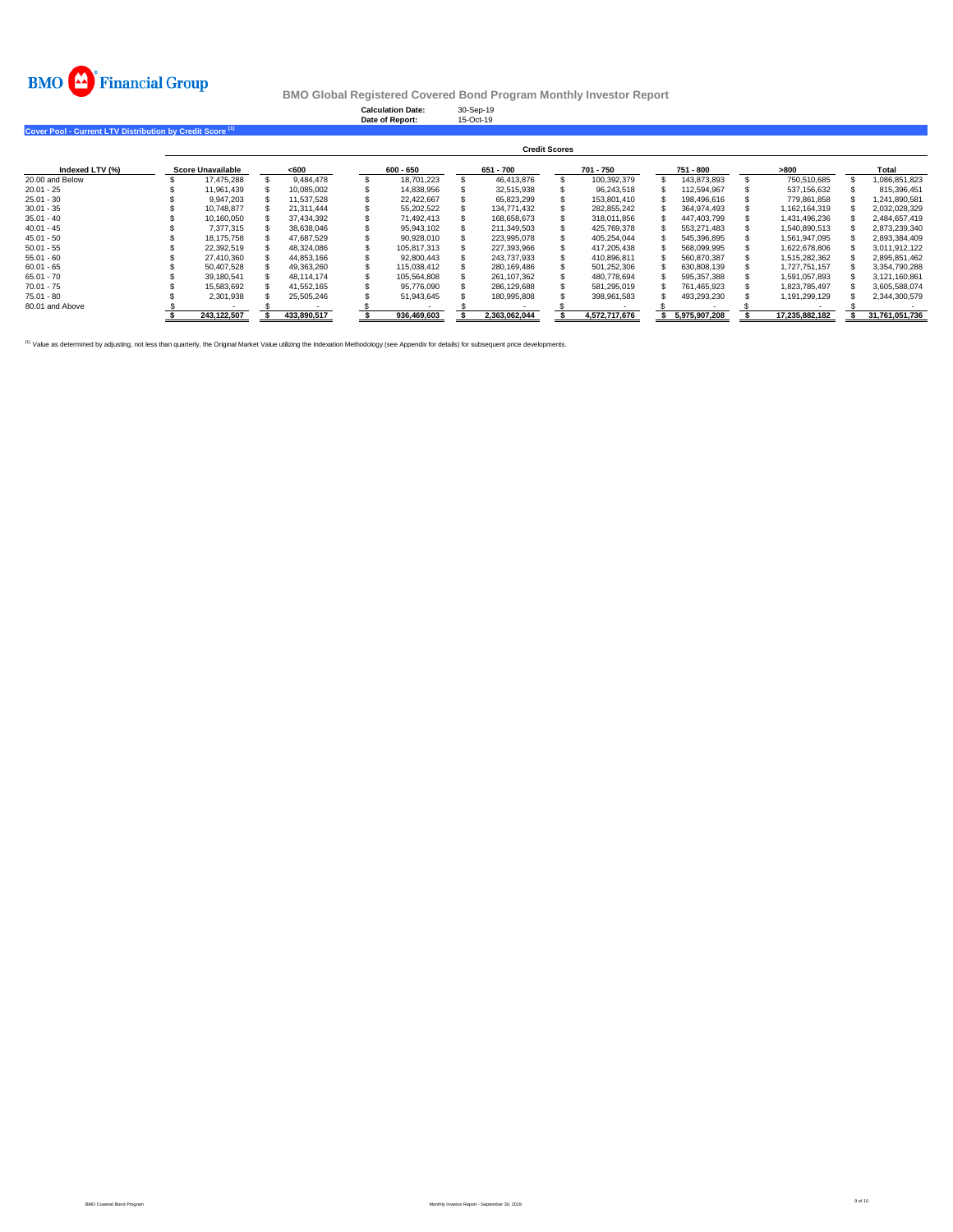

**Calculation Date:** 30-Sep-19 **Date of Report:** 15-Oct-19

**Cover Pool - Current LTV Distribution by Credit Score (1)** 

|                 | <b>Credit Scores</b> |                   |  |             |  |             |  |               |  |               |  |               |  |                |  |                |
|-----------------|----------------------|-------------------|--|-------------|--|-------------|--|---------------|--|---------------|--|---------------|--|----------------|--|----------------|
| Indexed LTV (%) |                      | Score Unavailable |  | <600        |  | $600 - 650$ |  | 651 - 700     |  | 701 - 750     |  | 751 - 800     |  | >800           |  | Total          |
| 20.00 and Below |                      | 17.475.288        |  | 9.484.478   |  | 18.701.223  |  | 46.413.876    |  | 100.392.379   |  | 143.873.893   |  | 750.510.685    |  | 1.086.851.823  |
| $20.01 - 25$    |                      | 11.961.439        |  | 10.085.002  |  | 14.838.956  |  | 32.515.938    |  | 96.243.518    |  | 112.594.967   |  | 537.156.632    |  | 815.396.451    |
| $25.01 - 30$    |                      | 9.947.203         |  | 11.537.528  |  | 22.422.667  |  | 65.823.299    |  | 153.801.410   |  | 198.496.616   |  | 779.861.858    |  | 1.241.890.581  |
| $30.01 - 35$    |                      | 10.748.877        |  | 21.311.444  |  | 55.202.522  |  | 134.771.432   |  | 282.855.242   |  | 364.974.493   |  | 1.162.164.319  |  | 2.032.028.329  |
| $35.01 - 40$    |                      | 10.160.050        |  | 37.434.392  |  | 71.492.413  |  | 168.658.673   |  | 318.011.856   |  | 447.403.799   |  | 1.431.496.236  |  | 2.484.657.419  |
| $40.01 - 45$    |                      | 7.377.315         |  | 38.638.046  |  | 95.943.102  |  | 211.349.503   |  | 425.769.378   |  | 553.271.483   |  | 1.540.890.513  |  | 2.873.239.340  |
| $45.01 - 50$    |                      | 18.175.758        |  | 47.687.529  |  | 90.928.010  |  | 223.995.078   |  | 405.254.044   |  | 545.396.895   |  | 1.561.947.095  |  | 2.893.384.409  |
| $50.01 - 55$    |                      | 22,392.519        |  | 48.324.086  |  | 105.817.313 |  | 227.393.966   |  | 417.205.438   |  | 568.099.995   |  | 1.622.678.806  |  | 3.011.912.122  |
| $55.01 - 60$    |                      | 27.410.360        |  | 44.853.166  |  | 92.800.443  |  | 243.737.933   |  | 410.896.811   |  | 560.870.387   |  | 1.515.282.362  |  | 2.895.851.462  |
| $60.01 - 65$    |                      | 50.407.528        |  | 49.363.260  |  | 115.038.412 |  | 280.169.486   |  | 501.252.306   |  | 630.808.139   |  | 1.727.751.157  |  | 3.354.790.288  |
| $65.01 - 70$    |                      | 39.180.541        |  | 48.114.174  |  | 105.564.808 |  | 261.107.362   |  | 480.778.694   |  | 595.357.388   |  | 1.591.057.893  |  | 3.121.160.861  |
| $70.01 - 75$    |                      | 15.583.692        |  | 41.552.165  |  | 95.776.090  |  | 286.129.688   |  | 581.295.019   |  | 761.465.923   |  | 1.823.785.497  |  | 3,605,588,074  |
| $75.01 - 80$    |                      | 2,301,938         |  | 25,505,246  |  | 51,943,645  |  | 180,995,808   |  | 398,961,583   |  | 493,293,230   |  | 1,191,299,129  |  | 2,344,300,579  |
| 80.01 and Above |                      |                   |  |             |  |             |  |               |  |               |  |               |  |                |  |                |
|                 |                      | 243.122.507       |  | 433.890.517 |  | 936.469.603 |  | 2.363.062.044 |  | 4.572.717.676 |  | 5.975.907.208 |  | 17.235.882.182 |  | 31.761.051.736 |

<sup>(1)</sup> Value as determined by adjusting, not less than quarterly, the Original Market Value utilizing the Indexation Methodology (see Appendix for details) for subsequent price developments